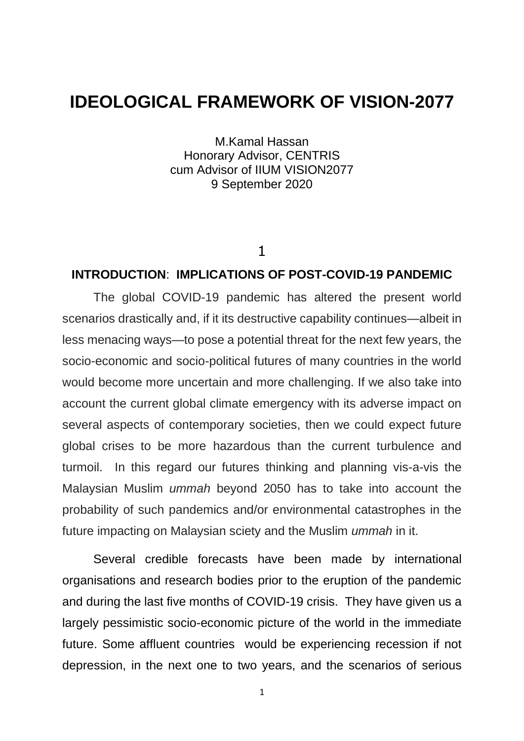# **IDEOLOGICAL FRAMEWORK OF VISION-2077**

M.Kamal Hassan Honorary Advisor, CENTRIS cum Advisor of IIUM VISION2077 9 September 2020

## 1

## **INTRODUCTION**: **IMPLICATIONS OF POST-COVID-19 PANDEMIC**

The global COVID-19 pandemic has altered the present world scenarios drastically and, if it its destructive capability continues—albeit in less menacing ways—to pose a potential threat for the next few years, the socio-economic and socio-political futures of many countries in the world would become more uncertain and more challenging. If we also take into account the current global climate emergency with its adverse impact on several aspects of contemporary societies, then we could expect future global crises to be more hazardous than the current turbulence and turmoil. In this regard our futures thinking and planning vis-a-vis the Malaysian Muslim *ummah* beyond 2050 has to take into account the probability of such pandemics and/or environmental catastrophes in the future impacting on Malaysian sciety and the Muslim *ummah* in it.

Several credible forecasts have been made by international organisations and research bodies prior to the eruption of the pandemic and during the last five months of COVID-19 crisis. They have given us a largely pessimistic socio-economic picture of the world in the immediate future. Some affluent countries would be experiencing recession if not depression, in the next one to two years, and the scenarios of serious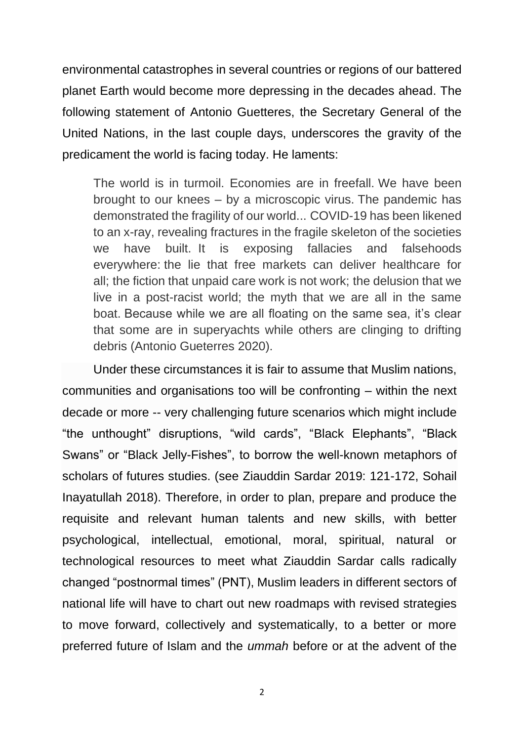environmental catastrophes in several countries or regions of our battered planet Earth would become more depressing in the decades ahead. The following statement of Antonio Guetteres, the Secretary General of the United Nations, in the last couple days, underscores the gravity of the predicament the world is facing today. He laments:

The world is in turmoil. Economies are in freefall. We have been brought to our knees – by a microscopic virus. The pandemic has demonstrated the fragility of our world... COVID-19 has been likened to an x-ray, revealing fractures in the fragile skeleton of the societies we have built. It is exposing fallacies and falsehoods everywhere: the lie that free markets can deliver healthcare for all; the fiction that unpaid care work is not work; the delusion that we live in a post-racist world; the myth that we are all in the same boat. Because while we are all floating on the same sea, it's clear that some are in superyachts while others are clinging to drifting debris (Antonio Gueterres 2020).

Under these circumstances it is fair to assume that Muslim nations, communities and organisations too will be confronting – within the next decade or more -- very challenging future scenarios which might include "the unthought" disruptions, "wild cards", "Black Elephants", "Black Swans" or "Black Jelly-Fishes", to borrow the well-known metaphors of scholars of futures studies. (see Ziauddin Sardar 2019: 121-172, Sohail Inayatullah 2018). Therefore, in order to plan, prepare and produce the requisite and relevant human talents and new skills, with better psychological, intellectual, emotional, moral, spiritual, natural or technological resources to meet what Ziauddin Sardar calls radically changed "postnormal times" (PNT), Muslim leaders in different sectors of national life will have to chart out new roadmaps with revised strategies to move forward, collectively and systematically, to a better or more preferred future of Islam and the *ummah* before or at the advent of the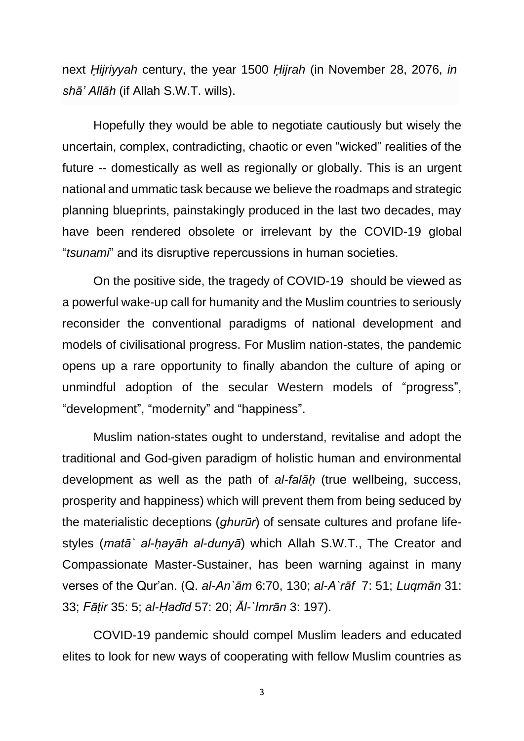next *Ḥijriyyah* century, the year 1500 *Ḥijrah* (in November 28, 2076, *in shā' Allāh* (if Allah S.W.T. wills).

Hopefully they would be able to negotiate cautiously but wisely the uncertain, complex, contradicting, chaotic or even "wicked" realities of the future -- domestically as well as regionally or globally. This is an urgent national and ummatic task because we believe the roadmaps and strategic planning blueprints, painstakingly produced in the last two decades, may have been rendered obsolete or irrelevant by the COVID-19 global "*tsunami*" and its disruptive repercussions in human societies.

On the positive side, the tragedy of COVID-19 should be viewed as a powerful wake-up call for humanity and the Muslim countries to seriously reconsider the conventional paradigms of national development and models of civilisational progress. For Muslim nation-states, the pandemic opens up a rare opportunity to finally abandon the culture of aping or unmindful adoption of the secular Western models of "progress", "development", "modernity" and "happiness".

Muslim nation-states ought to understand, revitalise and adopt the traditional and God-given paradigm of holistic human and environmental development as well as the path of *al-falāḥ* (true wellbeing, success, prosperity and happiness) which will prevent them from being seduced by the materialistic deceptions (*ghurūr*) of sensate cultures and profane lifestyles (*matā` al-ḥayāh al-dunyā*) which Allah S.W.T., The Creator and Compassionate Master-Sustainer, has been warning against in many verses of the Qur'an. (Q. *al-An`ām* 6:70, 130; *al-A`rāf* 7: 51; *Luqmān* 31: 33; *Fāṭir* 35: 5; *al-Ḥadīd* 57: 20; *Āl-`Imrān* 3: 197).

COVID-19 pandemic should compel Muslim leaders and educated elites to look for new ways of cooperating with fellow Muslim countries as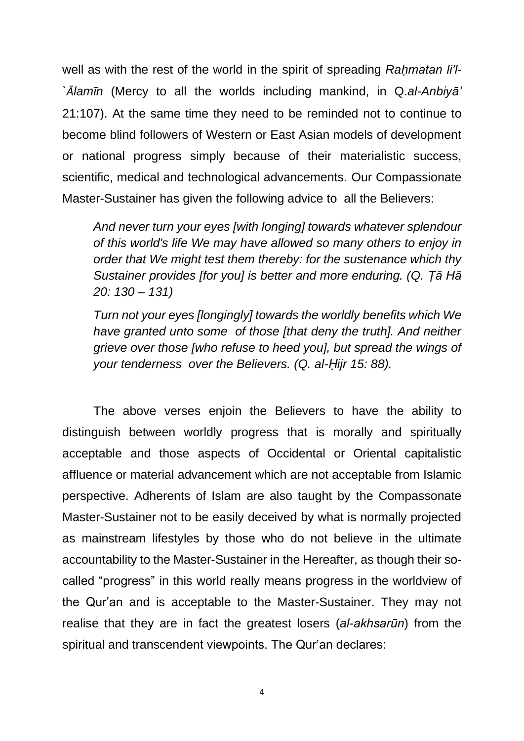well as with the rest of the world in the spirit of spreading *Rahmatan li'l-`Ālamīn* (Mercy to all the worlds including mankind, in Q.*al-Anbiyā'* 21:107). At the same time they need to be reminded not to continue to become blind followers of Western or East Asian models of development or national progress simply because of their materialistic success, scientific, medical and technological advancements. Our Compassionate Master-Sustainer has given the following advice to all the Believers:

*And never turn your eyes [with longing] towards whatever splendour of this world's life We may have allowed so many others to enjoy in order that We might test them thereby: for the sustenance which thy Sustainer provides [for you] is better and more enduring. (Q. Ṭā Hā 20: 130 – 131)*

*Turn not your eyes [longingly] towards the worldly benefits which We have granted unto some of those [that deny the truth]. And neither grieve over those [who refuse to heed you], but spread the wings of your tenderness over the Believers. (Q. al-Ḥijr 15: 88).*

The above verses enjoin the Believers to have the ability to distinguish between worldly progress that is morally and spiritually acceptable and those aspects of Occidental or Oriental capitalistic affluence or material advancement which are not acceptable from Islamic perspective. Adherents of Islam are also taught by the Compassonate Master-Sustainer not to be easily deceived by what is normally projected as mainstream lifestyles by those who do not believe in the ultimate accountability to the Master-Sustainer in the Hereafter, as though their socalled "progress" in this world really means progress in the worldview of the Qur'an and is acceptable to the Master-Sustainer. They may not realise that they are in fact the greatest losers (*al-akhsarūn*) from the spiritual and transcendent viewpoints. The Qur'an declares: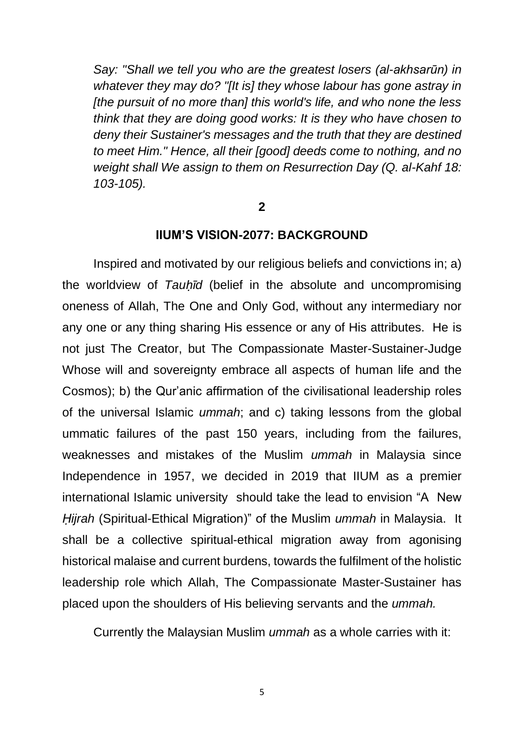*Say: "Shall we tell you who are the greatest losers (al-akhsarūn) in whatever they may do? "[It is] they whose labour has gone astray in [the pursuit of no more than] this world's life, and who none the less think that they are doing good works: It is they who have chosen to deny their Sustainer's messages and the truth that they are destined to meet Him." Hence, all their [good] deeds come to nothing, and no weight shall We assign to them on Resurrection Day (Q. al-Kahf 18: 103-105).*

**2**

#### **IIUM'S VISION-2077: BACKGROUND**

Inspired and motivated by our religious beliefs and convictions in; a) the worldview of *Tauḥīd* (belief in the absolute and uncompromising oneness of Allah, The One and Only God, without any intermediary nor any one or any thing sharing His essence or any of His attributes. He is not just The Creator, but The Compassionate Master-Sustainer-Judge Whose will and sovereignty embrace all aspects of human life and the Cosmos); b) the Qur'anic affirmation of the civilisational leadership roles of the universal Islamic *ummah*; and c) taking lessons from the global ummatic failures of the past 150 years, including from the failures, weaknesses and mistakes of the Muslim *ummah* in Malaysia since Independence in 1957, we decided in 2019 that IIUM as a premier international Islamic university should take the lead to envision "A New *Ḥijrah* (Spiritual-Ethical Migration)" of the Muslim *ummah* in Malaysia. It shall be a collective spiritual-ethical migration away from agonising historical malaise and current burdens, towards the fulfilment of the holistic leadership role which Allah, The Compassionate Master-Sustainer has placed upon the shoulders of His believing servants and the *ummah.*

Currently the Malaysian Muslim *ummah* as a whole carries with it: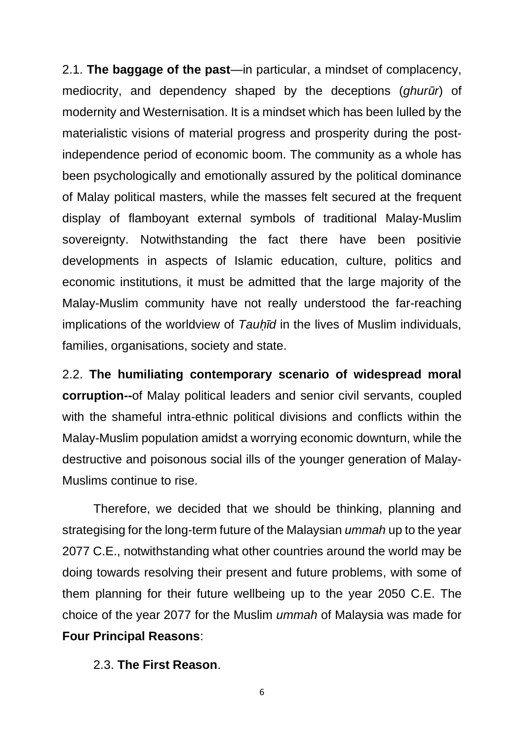2.1. **The baggage of the past**—in particular, a mindset of complacency, mediocrity, and dependency shaped by the deceptions (*ghurūr*) of modernity and Westernisation. It is a mindset which has been lulled by the materialistic visions of material progress and prosperity during the postindependence period of economic boom. The community as a whole has been psychologically and emotionally assured by the political dominance of Malay political masters, while the masses felt secured at the frequent display of flamboyant external symbols of traditional Malay-Muslim sovereignty. Notwithstanding the fact there have been positivie developments in aspects of Islamic education, culture, politics and economic institutions, it must be admitted that the large majority of the Malay-Muslim community have not really understood the far-reaching implications of the worldview of *Tauh*<sup>I</sup>d in the lives of Muslim individuals, families, organisations, society and state.

2.2. **The humiliating contemporary scenario of widespread moral corruption--**of Malay political leaders and senior civil servants, coupled with the shameful intra-ethnic political divisions and conflicts within the Malay-Muslim population amidst a worrying economic downturn, while the destructive and poisonous social ills of the younger generation of Malay-Muslims continue to rise.

Therefore, we decided that we should be thinking, planning and strategising for the long-term future of the Malaysian *ummah* up to the year 2077 C.E., notwithstanding what other countries around the world may be doing towards resolving their present and future problems, with some of them planning for their future wellbeing up to the year 2050 C.E. The choice of the year 2077 for the Muslim *ummah* of Malaysia was made for **Four Principal Reasons**:

2.3. **The First Reason**.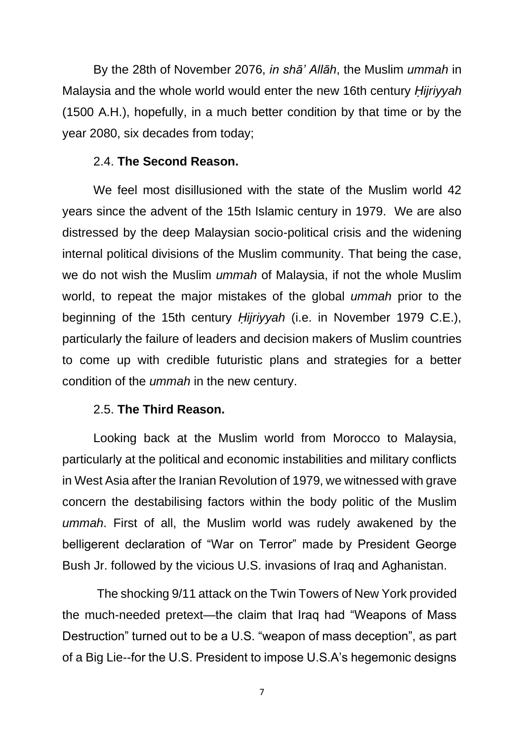By the 28th of November 2076, *in shā' Allāh*, the Muslim *ummah* in Malaysia and the whole world would enter the new 16th century *Ḥijriyyah* (1500 A.H.), hopefully, in a much better condition by that time or by the year 2080, six decades from today;

## 2.4. **The Second Reason.**

We feel most disillusioned with the state of the Muslim world 42 years since the advent of the 15th Islamic century in 1979. We are also distressed by the deep Malaysian socio-political crisis and the widening internal political divisions of the Muslim community. That being the case, we do not wish the Muslim *ummah* of Malaysia, if not the whole Muslim world, to repeat the major mistakes of the global *ummah* prior to the beginning of the 15th century *Ḥijriyyah* (i.e. in November 1979 C.E.), particularly the failure of leaders and decision makers of Muslim countries to come up with credible futuristic plans and strategies for a better condition of the *ummah* in the new century.

## 2.5. **The Third Reason.**

Looking back at the Muslim world from Morocco to Malaysia, particularly at the political and economic instabilities and military conflicts in West Asia after the Iranian Revolution of 1979, we witnessed with grave concern the destabilising factors within the body politic of the Muslim *ummah*. First of all, the Muslim world was rudely awakened by the belligerent declaration of "War on Terror" made by President George Bush Jr. followed by the vicious U.S. invasions of Iraq and Aghanistan.

The shocking 9/11 attack on the Twin Towers of New York provided the much-needed pretext—the claim that Iraq had "Weapons of Mass Destruction" turned out to be a U.S. "weapon of mass deception", as part of a Big Lie--for the U.S. President to impose U.S.A's hegemonic designs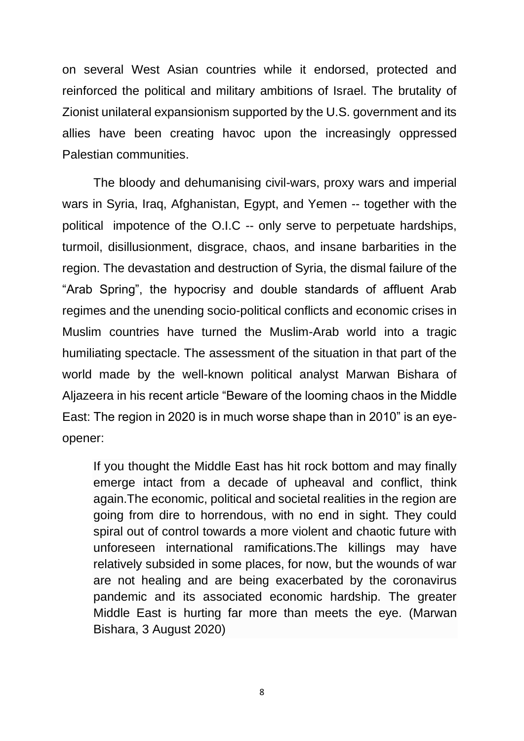on several West Asian countries while it endorsed, protected and reinforced the political and military ambitions of Israel. The brutality of Zionist unilateral expansionism supported by the U.S. government and its allies have been creating havoc upon the increasingly oppressed Palestian communities.

The bloody and dehumanising civil-wars, proxy wars and imperial wars in Syria, Iraq, Afghanistan, Egypt, and Yemen -- together with the political impotence of the O.I.C -- only serve to perpetuate hardships, turmoil, disillusionment, disgrace, chaos, and insane barbarities in the region. The devastation and destruction of Syria, the dismal failure of the "Arab Spring", the hypocrisy and double standards of affluent Arab regimes and the unending socio-political conflicts and economic crises in Muslim countries have turned the Muslim-Arab world into a tragic humiliating spectacle. The assessment of the situation in that part of the world made by the well-known political analyst Marwan Bishara of Aljazeera in his recent article "Beware of the looming chaos in the Middle East: The region in 2020 is in much worse shape than in 2010" is an eyeopener:

If you thought the Middle East has hit rock bottom and may finally emerge intact from a decade of upheaval and conflict, think again.The economic, political and societal realities in the region are going from dire to horrendous, with no end in sight. They could spiral out of control towards a more violent and chaotic future with unforeseen international ramifications.The killings may have relatively subsided in some places, for now, but the wounds of war are not healing and are being exacerbated by the coronavirus pandemic and its associated economic hardship. The greater Middle East is hurting far more than meets the eye. (Marwan Bishara, 3 August 2020)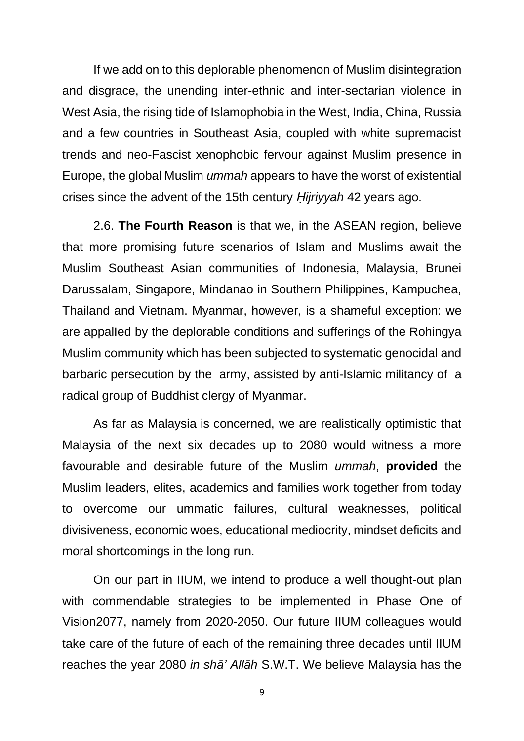If we add on to this deplorable phenomenon of Muslim disintegration and disgrace, the unending inter-ethnic and inter-sectarian violence in West Asia, the rising tide of Islamophobia in the West, India, China, Russia and a few countries in Southeast Asia, coupled with white supremacist trends and neo-Fascist xenophobic fervour against Muslim presence in Europe, the global Muslim *ummah* appears to have the worst of existential crises since the advent of the 15th century *Ḥijriyyah* 42 years ago.

2.6. **The Fourth Reason** is that we, in the ASEAN region, believe that more promising future scenarios of Islam and Muslims await the Muslim Southeast Asian communities of Indonesia, Malaysia, Brunei Darussalam, Singapore, Mindanao in Southern Philippines, Kampuchea, Thailand and Vietnam. Myanmar, however, is a shameful exception: we are appalIed by the deplorable conditions and sufferings of the Rohingya Muslim community which has been subjected to systematic genocidal and barbaric persecution by the army, assisted by anti-Islamic militancy of a radical group of Buddhist clergy of Myanmar.

As far as Malaysia is concerned, we are realistically optimistic that Malaysia of the next six decades up to 2080 would witness a more favourable and desirable future of the Muslim *ummah*, **provided** the Muslim leaders, elites, academics and families work together from today to overcome our ummatic failures, cultural weaknesses, political divisiveness, economic woes, educational mediocrity, mindset deficits and moral shortcomings in the long run.

On our part in IIUM, we intend to produce a well thought-out plan with commendable strategies to be implemented in Phase One of Vision2077, namely from 2020-2050. Our future IIUM colleagues would take care of the future of each of the remaining three decades until IIUM reaches the year 2080 *in shā' Allāh* S.W.T. We believe Malaysia has the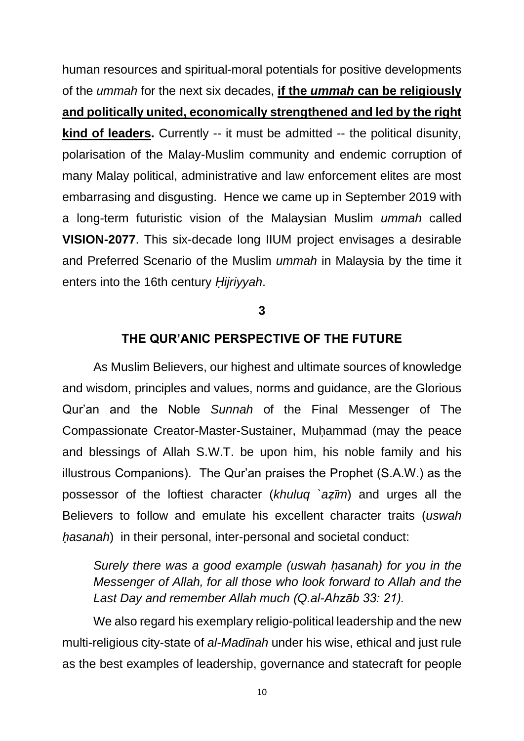human resources and spiritual-moral potentials for positive developments of the *ummah* for the next six decades, **if the** *ummah* **can be religiously and politically united, economically strengthened and led by the right kind of leaders.** Currently -- it must be admitted -- the political disunity, polarisation of the Malay-Muslim community and endemic corruption of many Malay political, administrative and law enforcement elites are most embarrasing and disgusting. Hence we came up in September 2019 with a long-term futuristic vision of the Malaysian Muslim *ummah* called **VISION-2077**. This six-decade long IIUM project envisages a desirable and Preferred Scenario of the Muslim *ummah* in Malaysia by the time it enters into the 16th century *Ḥijriyyah*.

## **3**

## **THE QUR'ANIC PERSPECTIVE OF THE FUTURE**

As Muslim Believers, our highest and ultimate sources of knowledge and wisdom, principles and values, norms and guidance, are the Glorious Qur'an and the Noble *Sunnah* of the Final Messenger of The Compassionate Creator-Master-Sustainer, Muḥammad (may the peace and blessings of Allah S.W.T. be upon him, his noble family and his illustrous Companions). The Qur'an praises the Prophet (S.A.W.) as the possessor of the loftiest character (*khuluq `aẓīm*) and urges all the Believers to follow and emulate his excellent character traits (*uswah ḥasanah*) in their personal, inter-personal and societal conduct:

*Surely there was a good example (uswah hasanah) for you in the Messenger of Allah, for all those who look forward to Allah and the Last Day and remember Allah much (Q.al-Ahzāb 33: 21).*

We also regard his exemplary religio-political leadership and the new multi-religious city-state of *al-Madīnah* under his wise, ethical and just rule as the best examples of leadership, governance and statecraft for people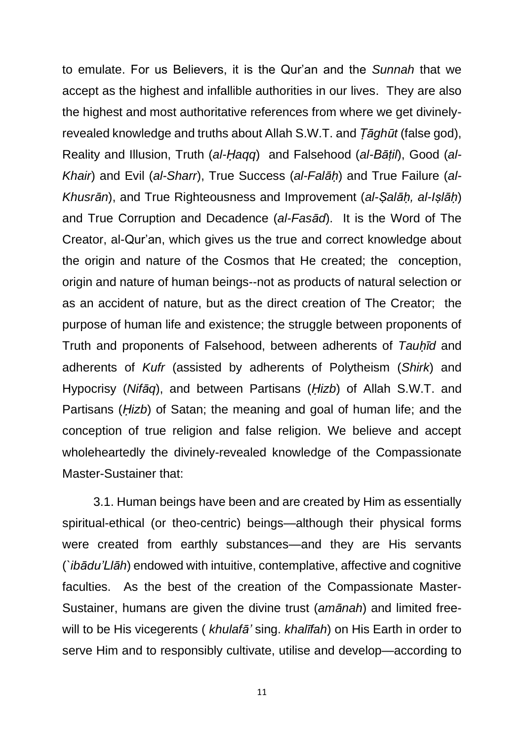to emulate. For us Believers, it is the Qur'an and the *Sunnah* that we accept as the highest and infallible authorities in our lives. They are also the highest and most authoritative references from where we get divinelyrevealed knowledge and truths about Allah S.W.T. and *Ṭāghūt* (false god), Reality and Illusion, Truth (*al-Ḥaqq*) and Falsehood (*al-Bāṭil*), Good (*al-Khair*) and Evil (*al-Sharr*), True Success (*al-Falāḥ*) and True Failure (*al-Khusrān*), and True Righteousness and Improvement (*al-Ṣalāḥ, al-Iṣlāḥ*) and True Corruption and Decadence (*al-Fasād*). It is the Word of The Creator, al-Qur'an, which gives us the true and correct knowledge about the origin and nature of the Cosmos that He created; the conception, origin and nature of human beings--not as products of natural selection or as an accident of nature, but as the direct creation of The Creator; the purpose of human life and existence; the struggle between proponents of Truth and proponents of Falsehood, between adherents of *Tauḥīd* and adherents of *Kufr* (assisted by adherents of Polytheism (*Shirk*) and Hypocrisy (*Nifāq*), and between Partisans (*Ḥizb*) of Allah S.W.T. and Partisans (*Ḥizb*) of Satan; the meaning and goal of human life; and the conception of true religion and false religion. We believe and accept wholeheartedly the divinely-revealed knowledge of the Compassionate Master-Sustainer that:

3.1. Human beings have been and are created by Him as essentially spiritual-ethical (or theo-centric) beings—although their physical forms were created from earthly substances—and they are His servants (*`ibādu'Llāh*) endowed with intuitive, contemplative, affective and cognitive faculties. As the best of the creation of the Compassionate Master-Sustainer, humans are given the divine trust (*amānah*) and limited freewill to be His vicegerents ( *khulafā'* sing. *khalīfah*) on His Earth in order to serve Him and to responsibly cultivate, utilise and develop—according to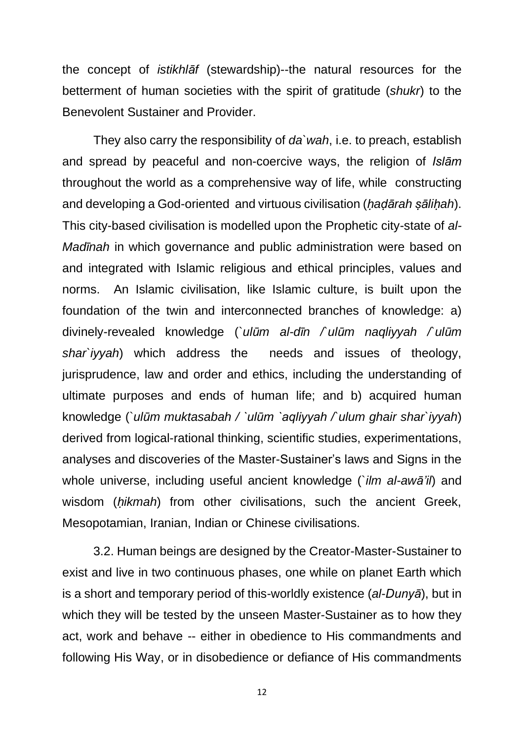the concept of *istikhlāf* (stewardship)--the natural resources for the betterment of human societies with the spirit of gratitude (*shukr*) to the Benevolent Sustainer and Provider.

They also carry the responsibility of *da`wah*, i.e. to preach, establish and spread by peaceful and non-coercive ways, the religion of *Islām* throughout the world as a comprehensive way of life, while constructing and developing a God-oriented and virtuous civilisation (*ḥaḍārah ṣāliḥah*). This city-based civilisation is modelled upon the Prophetic city-state of *al-Madinah* in which governance and public administration were based on and integrated with Islamic religious and ethical principles, values and norms. An Islamic civilisation, like Islamic culture, is built upon the foundation of the twin and interconnected branches of knowledge: a) divinely-revealed knowledge (`*ulūm al-dīn /`ulūm naqliyyah /`ulūm shar`iyyah*) which address the needs and issues of theology, jurisprudence, law and order and ethics, including the understanding of ultimate purposes and ends of human life; and b) acquired human knowledge (`*ulūm muktasabah / `ulūm `aqliyyah /`ulum ghair shar`iyyah*) derived from logical-rational thinking, scientific studies, experimentations, analyses and discoveries of the Master-Sustainer's laws and Signs in the whole universe, including useful ancient knowledge (`*ilm al-awā'il*) and wisdom (*ḥikmah*) from other civilisations, such the ancient Greek, Mesopotamian, Iranian, Indian or Chinese civilisations.

3.2. Human beings are designed by the Creator-Master-Sustainer to exist and live in two continuous phases, one while on planet Earth which is a short and temporary period of this-worldly existence (*al-Dunyā*), but in which they will be tested by the unseen Master-Sustainer as to how they act, work and behave -- either in obedience to His commandments and following His Way, or in disobedience or defiance of His commandments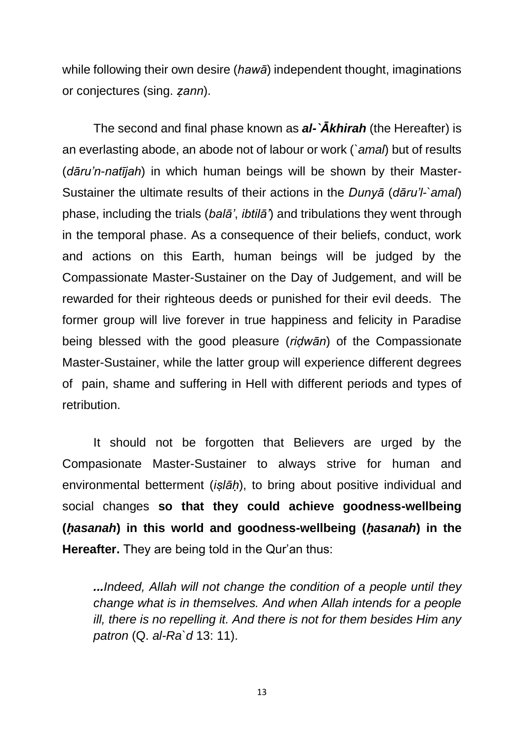while following their own desire (*hawā*) independent thought, imaginations or conjectures (sing. *ẓann*).

The second and final phase known as *al-`Ākhirah* (the Hereafter) is an everlasting abode, an abode not of labour or work (*`amal*) but of results (*dāru'n-natījah*) in which human beings will be shown by their Master-Sustainer the ultimate results of their actions in the *Dunyā* (*dāru'l-`amal*) phase, including the trials (*balā'*, *ibtilā'*) and tribulations they went through in the temporal phase. As a consequence of their beliefs, conduct, work and actions on this Earth, human beings will be judged by the Compassionate Master-Sustainer on the Day of Judgement, and will be rewarded for their righteous deeds or punished for their evil deeds. The former group will live forever in true happiness and felicity in Paradise being blessed with the good pleasure (*riḍwān*) of the Compassionate Master-Sustainer, while the latter group will experience different degrees of pain, shame and suffering in Hell with different periods and types of retribution.

It should not be forgotten that Believers are urged by the Compasionate Master-Sustainer to always strive for human and environmental betterment (*iṣlāḥ*), to bring about positive individual and social changes **so that they could achieve goodness-wellbeing (***ḥasanah***) in this world and goodness-wellbeing (***ḥasanah***) in the Hereafter.** They are being told in the Qur'an thus:

*...Indeed, Allah will not change the condition of a people until they change what is in themselves. And when Allah intends for a people ill, there is no repelling it. And there is not for them besides Him any patron* (Q. *al-Ra`d* 13: 11).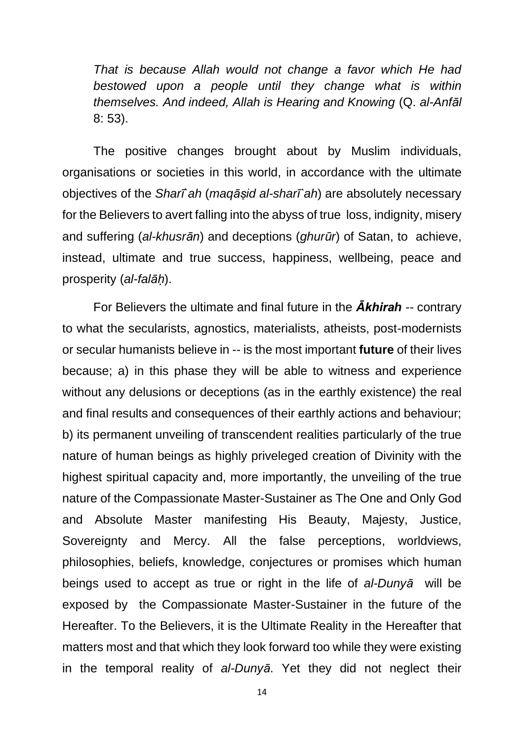*That is because Allah would not change a favor which He had bestowed upon a people until they change what is within themselves. And indeed, Allah is Hearing and Knowing* (Q. *al-Anfāl* 8: 53).

The positive changes brought about by Muslim individuals, organisations or societies in this world, in accordance with the ultimate objectives of the *Sharī`ah* (*maqāṣid al-sharī`ah*) are absolutely necessary for the Believers to avert falling into the abyss of true loss, indignity, misery and suffering (*al-khusrān*) and deceptions (*ghurūr*) of Satan, to achieve, instead, ultimate and true success, happiness, wellbeing, peace and prosperity (*al-falāḥ*).

For Believers the ultimate and final future in the *Ākhirah --* contrary to what the secularists, agnostics, materialists, atheists, post-modernists or secular humanists believe in -- is the most important **future** of their lives because; a) in this phase they will be able to witness and experience without any delusions or deceptions (as in the earthly existence) the real and final results and consequences of their earthly actions and behaviour; b) its permanent unveiling of transcendent realities particularly of the true nature of human beings as highly priveleged creation of Divinity with the highest spiritual capacity and, more importantly, the unveiling of the true nature of the Compassionate Master-Sustainer as The One and Only God and Absolute Master manifesting His Beauty, Majesty, Justice, Sovereignty and Mercy. All the false perceptions, worldviews, philosophies, beliefs, knowledge, conjectures or promises which human beings used to accept as true or right in the life of *al-Dunyā* will be exposed by the Compassionate Master-Sustainer in the future of the Hereafter. To the Believers, it is the Ultimate Reality in the Hereafter that matters most and that which they look forward too while they were existing in the temporal reality of *al-Dunyā*. Yet they did not neglect their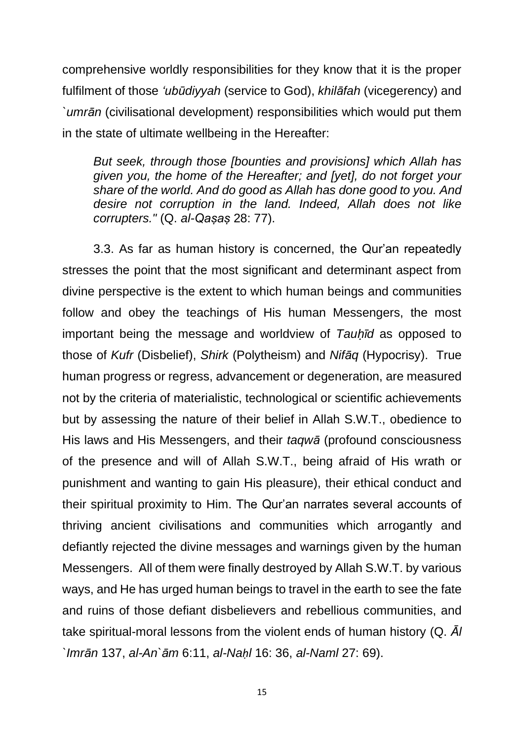comprehensive worldly responsibilities for they know that it is the proper fulfilment of those *'ubūdiyyah* (service to God), *khilāfah* (vicegerency) and *`umrān* (civilisational development) responsibilities which would put them in the state of ultimate wellbeing in the Hereafter:

*But seek, through those [bounties and provisions] which Allah has given you, the home of the Hereafter; and [yet], do not forget your share of the world. And do good as Allah has done good to you. And desire not corruption in the land. Indeed, Allah does not like corrupters."* (Q. *al-Qaṣaṣ* 28: 77).

3.3. As far as human history is concerned, the Qur'an repeatedly stresses the point that the most significant and determinant aspect from divine perspective is the extent to which human beings and communities follow and obey the teachings of His human Messengers, the most important being the message and worldview of *Tauḥīd* as opposed to those of *Kufr* (Disbelief), *Shirk* (Polytheism) and *Nifāq* (Hypocrisy). True human progress or regress, advancement or degeneration, are measured not by the criteria of materialistic, technological or scientific achievements but by assessing the nature of their belief in Allah S.W.T., obedience to His laws and His Messengers, and their *taqwā* (profound consciousness of the presence and will of Allah S.W.T., being afraid of His wrath or punishment and wanting to gain His pleasure), their ethical conduct and their spiritual proximity to Him. The Qur'an narrates several accounts of thriving ancient civilisations and communities which arrogantly and defiantly rejected the divine messages and warnings given by the human Messengers. All of them were finally destroyed by Allah S.W.T. by various ways, and He has urged human beings to travel in the earth to see the fate and ruins of those defiant disbelievers and rebellious communities, and take spiritual-moral lessons from the violent ends of human history (Q. *Āl `Imrān* 137, *al-An`ām* 6:11, *al-Naḥl* 16: 36, *al-Naml* 27: 69).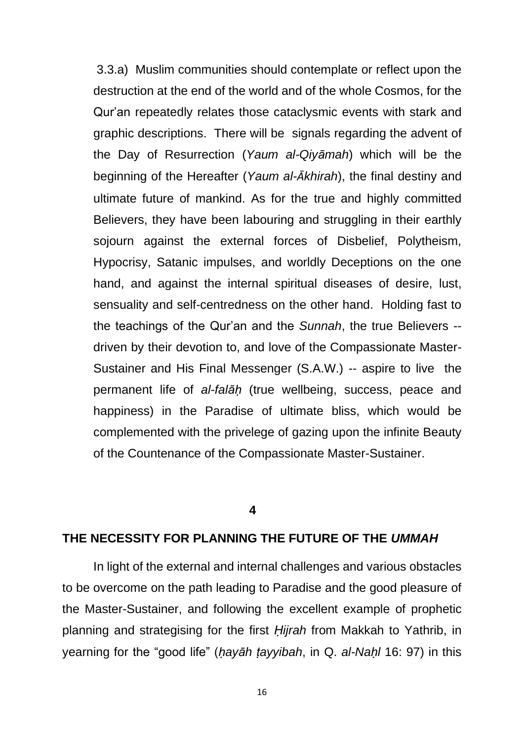3.3.a) Muslim communities should contemplate or reflect upon the destruction at the end of the world and of the whole Cosmos, for the Qur'an repeatedly relates those cataclysmic events with stark and graphic descriptions. There will be signals regarding the advent of the Day of Resurrection (*Yaum al-Qiyāmah*) which will be the beginning of the Hereafter (*Yaum al-Ākhirah*), the final destiny and ultimate future of mankind. As for the true and highly committed Believers, they have been labouring and struggling in their earthly sojourn against the external forces of Disbelief, Polytheism, Hypocrisy, Satanic impulses, and worldly Deceptions on the one hand, and against the internal spiritual diseases of desire, lust, sensuality and self-centredness on the other hand. Holding fast to the teachings of the Qur'an and the *Sunnah*, the true Believers - driven by their devotion to, and love of the Compassionate Master-Sustainer and His Final Messenger (S.A.W.) -- aspire to live the permanent life of *al-falāḥ* (true wellbeing, success, peace and happiness) in the Paradise of ultimate bliss, which would be complemented with the privelege of gazing upon the infinite Beauty of the Countenance of the Compassionate Master-Sustainer.

#### **4**

## **THE NECESSITY FOR PLANNING THE FUTURE OF THE** *UMMAH*

In light of the external and internal challenges and various obstacles to be overcome on the path leading to Paradise and the good pleasure of the Master-Sustainer, and following the excellent example of prophetic planning and strategising for the first *Ḥijrah* from Makkah to Yathrib, in yearning for the "good life" (*ḥayāh ṭayyibah*, in Q. *al-Naḥl* 16: 97) in this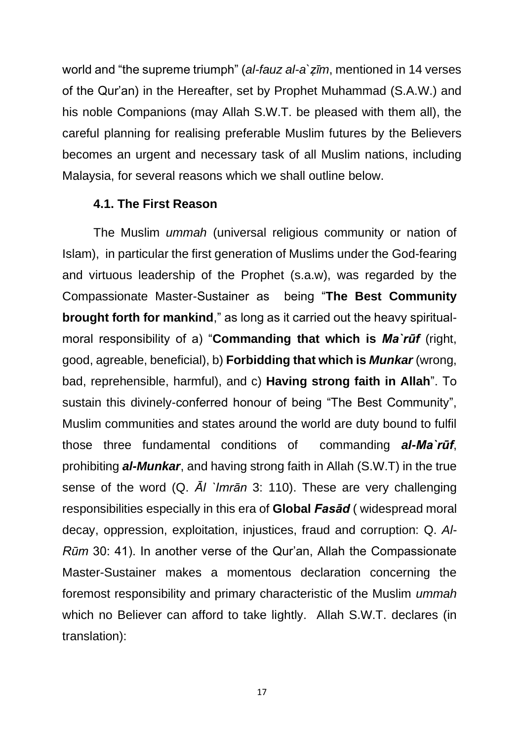world and "the supreme triumph" (*al-fauz al-a`ẓīm*, mentioned in 14 verses of the Qur'an) in the Hereafter, set by Prophet Muhammad (S.A.W.) and his noble Companions (may Allah S.W.T. be pleased with them all), the careful planning for realising preferable Muslim futures by the Believers becomes an urgent and necessary task of all Muslim nations, including Malaysia, for several reasons which we shall outline below.

## **4.1. The First Reason**

The Muslim *ummah* (universal religious community or nation of Islam), in particular the first generation of Muslims under the God-fearing and virtuous leadership of the Prophet (s.a.w), was regarded by the Compassionate Master-Sustainer as being "**The Best Community brought forth for mankind**," as long as it carried out the heavy spiritualmoral responsibility of a) "**Commanding that which is** *Ma`rūf* (right, good, agreable, beneficial), b) **Forbidding that which is** *Munkar* (wrong, bad, reprehensible, harmful), and c) **Having strong faith in Allah**". To sustain this divinely-conferred honour of being "The Best Community", Muslim communities and states around the world are duty bound to fulfil those three fundamental conditions of commanding *al-Ma`rūf*, prohibiting *al-Munkar*, and having strong faith in Allah (S.W.T) in the true sense of the word (Q. *Āl `Imrān* 3: 110). These are very challenging responsibilities especially in this era of **Global** *Fasād* ( widespread moral decay, oppression, exploitation, injustices, fraud and corruption: Q. *Al-Rūm* 30: 41). In another verse of the Qur'an, Allah the Compassionate Master-Sustainer makes a momentous declaration concerning the foremost responsibility and primary characteristic of the Muslim *ummah* which no Believer can afford to take lightly. Allah S.W.T. declares (in translation):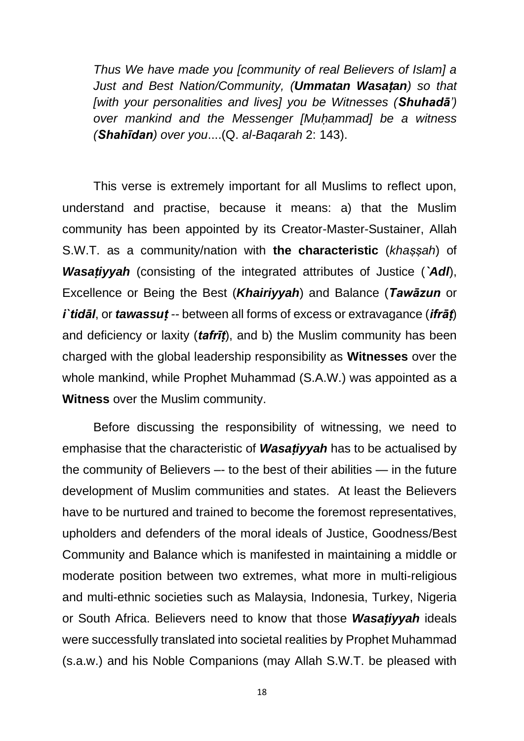*Thus We have made you [community of real Believers of Islam] a Just and Best Nation/Community, (Ummatan Wasaṭan) so that [with your personalities and lives] you be Witnesses (Shuhadā') over mankind and the Messenger [Muḥammad] be a witness (Shahīdan) over you*....(Q. *al-Baqarah* 2: 143).

This verse is extremely important for all Muslims to reflect upon, understand and practise, because it means: a) that the Muslim community has been appointed by its Creator-Master-Sustainer, Allah S.W.T. as a community/nation with **the characteristic** (*khaṣṣah*) of *Wasaṭiyyah* (consisting of the integrated attributes of Justice (*`Adl*), Excellence or Being the Best (*Khairiyyah*) and Balance (*Tawāzun* or *i`tidāl*, or *tawassuṭ --* between all forms of excess or extravagance (*ifrāṭ*) and deficiency or laxity (*tafrīṭ*), and b) the Muslim community has been charged with the global leadership responsibility as **Witnesses** over the whole mankind, while Prophet Muhammad (S.A.W.) was appointed as a **Witness** over the Muslim community.

Before discussing the responsibility of witnessing, we need to emphasise that the characteristic of *Wasaṭiyyah* has to be actualised by the community of Believers –- to the best of their abilities — in the future development of Muslim communities and states. At least the Believers have to be nurtured and trained to become the foremost representatives, upholders and defenders of the moral ideals of Justice, Goodness/Best Community and Balance which is manifested in maintaining a middle or moderate position between two extremes, what more in multi-religious and multi-ethnic societies such as Malaysia, Indonesia, Turkey, Nigeria or South Africa. Believers need to know that those *Wasaṭiyyah* ideals were successfully translated into societal realities by Prophet Muhammad (s.a.w.) and his Noble Companions (may Allah S.W.T. be pleased with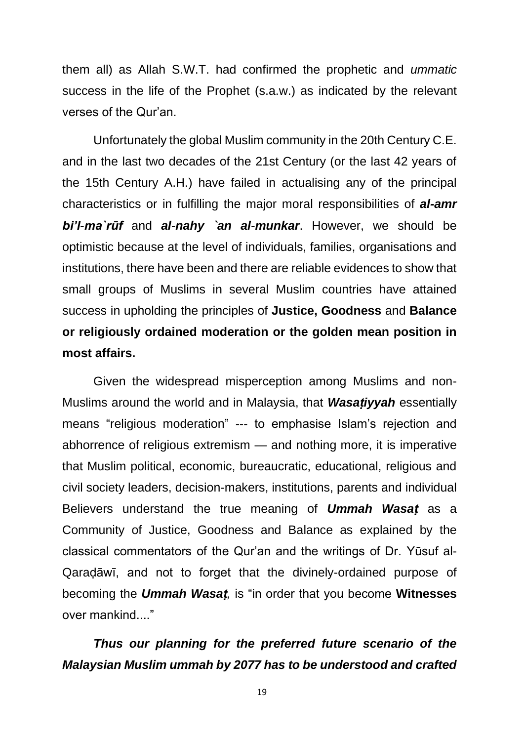them all) as Allah S.W.T. had confirmed the prophetic and *ummatic* success in the life of the Prophet (s.a.w.) as indicated by the relevant verses of the Qur'an.

Unfortunately the global Muslim community in the 20th Century C.E. and in the last two decades of the 21st Century (or the last 42 years of the 15th Century A.H.) have failed in actualising any of the principal characteristics or in fulfilling the major moral responsibilities of *al-amr bi'l-ma`rūf* and *al-nahy `an al-munkar*. However, we should be optimistic because at the level of individuals, families, organisations and institutions, there have been and there are reliable evidences to show that small groups of Muslims in several Muslim countries have attained success in upholding the principles of **Justice, Goodness** and **Balance or religiously ordained moderation or the golden mean position in most affairs.**

Given the widespread misperception among Muslims and non-Muslims around the world and in Malaysia, that *Wasaṭiyyah* essentially means "religious moderation" --- to emphasise Islam's rejection and abhorrence of religious extremism — and nothing more, it is imperative that Muslim political, economic, bureaucratic, educational, religious and civil society leaders, decision-makers, institutions, parents and individual Believers understand the true meaning of *Ummah Wasaṭ* as a Community of Justice, Goodness and Balance as explained by the classical commentators of the Qur'an and the writings of Dr. Yūsuf al-Qaraḍāwī, and not to forget that the divinely-ordained purpose of becoming the *Ummah Wasaṭ,* is "in order that you become **Witnesses** over mankind...."

# *Thus our planning for the preferred future scenario of the Malaysian Muslim ummah by 2077 has to be understood and crafted*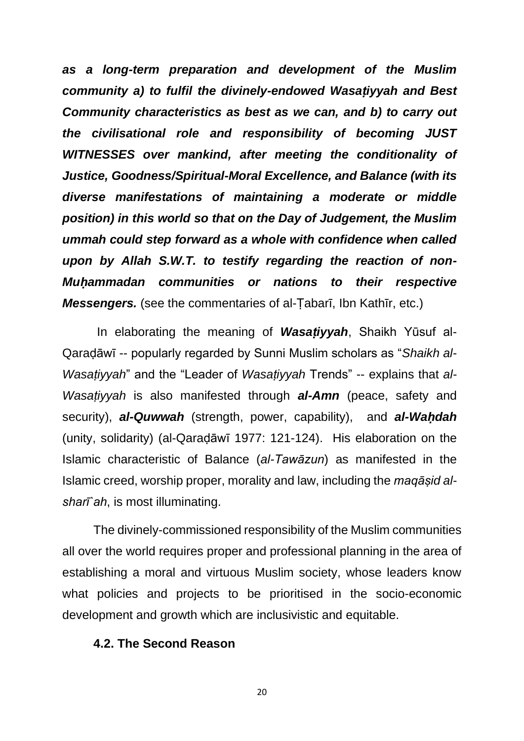*as a long-term preparation and development of the Muslim community a) to fulfil the divinely-endowed Wasaṭiyyah and Best Community characteristics as best as we can, and b) to carry out the civilisational role and responsibility of becoming JUST WITNESSES over mankind, after meeting the conditionality of Justice, Goodness/Spiritual-Moral Excellence, and Balance (with its diverse manifestations of maintaining a moderate or middle position) in this world so that on the Day of Judgement, the Muslim ummah could step forward as a whole with confidence when called upon by Allah S.W.T. to testify regarding the reaction of non-Muḥammadan communities or nations to their respective Messengers.* (see the commentaries of al-Tabarī, Ibn Kathīr, etc.)

In elaborating the meaning of *Wasaṭiyyah*, Shaikh Yūsuf al-Qaraḍāwī -- popularly regarded by Sunni Muslim scholars as "*Shaikh al-Wasaṭiyyah*" and the "Leader of *Wasaṭiyyah* Trends" -- explains that *al-Wasaṭiyyah* is also manifested through *al-Amn* (peace, safety and security), *al-Quwwah* (strength, power, capability), and *al-Waḥdah* (unity, solidarity) (al-Qaraḍāwī 1977: 121-124). His elaboration on the Islamic characteristic of Balance (*al-Tawāzun*) as manifested in the Islamic creed, worship proper, morality and law, including the *maqāṣid alsharī`ah*, is most illuminating.

The divinely-commissioned responsibility of the Muslim communities all over the world requires proper and professional planning in the area of establishing a moral and virtuous Muslim society, whose leaders know what policies and projects to be prioritised in the socio-economic development and growth which are inclusivistic and equitable.

## **4.2. The Second Reason**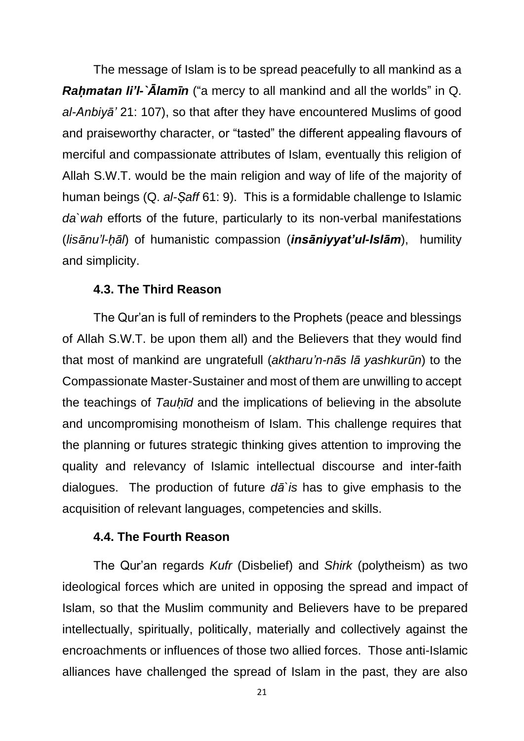The message of Islam is to be spread peacefully to all mankind as a *Raḥmatan li'l-`Ālamīn* ("a mercy to all mankind and all the worlds" in Q. *al-Anbiyā'* 21: 107), so that after they have encountered Muslims of good and praiseworthy character, or "tasted" the different appealing flavours of merciful and compassionate attributes of Islam, eventually this religion of Allah S.W.T. would be the main religion and way of life of the majority of human beings (Q. *al-Ṣaff* 61: 9). This is a formidable challenge to Islamic *da`wah* efforts of the future, particularly to its non-verbal manifestations (*lisānu'l-ḥāl*) of humanistic compassion (*insāniyyat'ul-Islām*), humility and simplicity.

## **4.3. The Third Reason**

The Qur'an is full of reminders to the Prophets (peace and blessings of Allah S.W.T. be upon them all) and the Believers that they would find that most of mankind are ungratefull (*aktharu'n-nās lā yashkurūn*) to the Compassionate Master-Sustainer and most of them are unwilling to accept the teachings of *Tauḥīd* and the implications of believing in the absolute and uncompromising monotheism of Islam. This challenge requires that the planning or futures strategic thinking gives attention to improving the quality and relevancy of Islamic intellectual discourse and inter-faith dialogues. The production of future *dā`is* has to give emphasis to the acquisition of relevant languages, competencies and skills.

## **4.4. The Fourth Reason**

The Qur'an regards *Kufr* (Disbelief) and *Shirk* (polytheism) as two ideological forces which are united in opposing the spread and impact of Islam, so that the Muslim community and Believers have to be prepared intellectually, spiritually, politically, materially and collectively against the encroachments or influences of those two allied forces. Those anti-Islamic alliances have challenged the spread of Islam in the past, they are also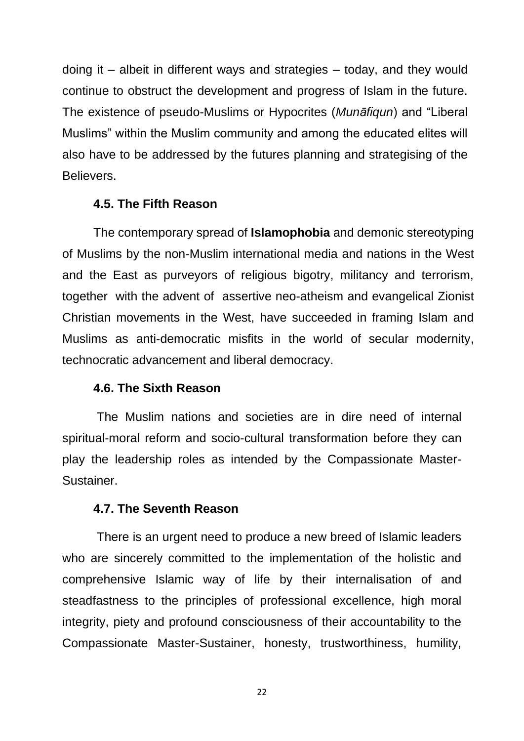doing it – albeit in different ways and strategies – today, and they would continue to obstruct the development and progress of Islam in the future. The existence of pseudo-Muslims or Hypocrites (*Munāfiqun*) and "Liberal Muslims" within the Muslim community and among the educated elites will also have to be addressed by the futures planning and strategising of the Believers.

## **4.5. The Fifth Reason**

The contemporary spread of **Islamophobia** and demonic stereotyping of Muslims by the non-Muslim international media and nations in the West and the East as purveyors of religious bigotry, militancy and terrorism, together with the advent of assertive neo-atheism and evangelical Zionist Christian movements in the West, have succeeded in framing Islam and Muslims as anti-democratic misfits in the world of secular modernity, technocratic advancement and liberal democracy.

## **4.6. The Sixth Reason**

The Muslim nations and societies are in dire need of internal spiritual-moral reform and socio-cultural transformation before they can play the leadership roles as intended by the Compassionate Master-Sustainer.

## **4.7. The Seventh Reason**

There is an urgent need to produce a new breed of Islamic leaders who are sincerely committed to the implementation of the holistic and comprehensive Islamic way of life by their internalisation of and steadfastness to the principles of professional excellence, high moral integrity, piety and profound consciousness of their accountability to the Compassionate Master-Sustainer, honesty, trustworthiness, humility,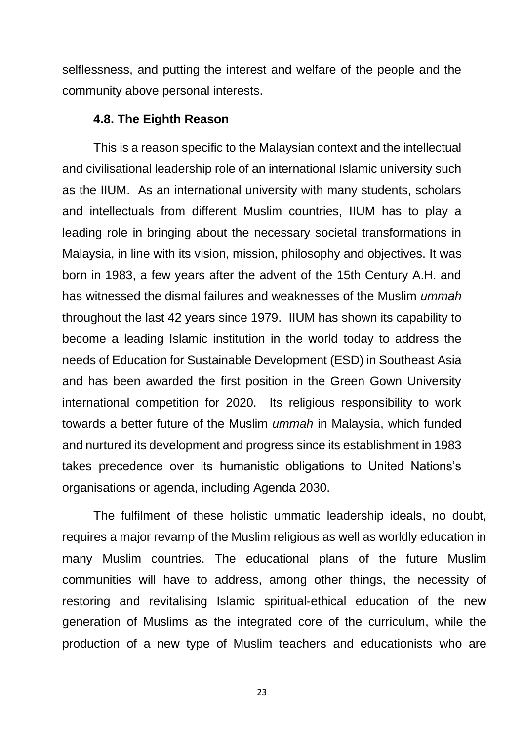selflessness, and putting the interest and welfare of the people and the community above personal interests.

## **4.8. The Eighth Reason**

This is a reason specific to the Malaysian context and the intellectual and civilisational leadership role of an international Islamic university such as the IIUM. As an international university with many students, scholars and intellectuals from different Muslim countries, IIUM has to play a leading role in bringing about the necessary societal transformations in Malaysia, in line with its vision, mission, philosophy and objectives. It was born in 1983, a few years after the advent of the 15th Century A.H. and has witnessed the dismal failures and weaknesses of the Muslim *ummah* throughout the last 42 years since 1979. IIUM has shown its capability to become a leading Islamic institution in the world today to address the needs of Education for Sustainable Development (ESD) in Southeast Asia and has been awarded the first position in the Green Gown University international competition for 2020. Its religious responsibility to work towards a better future of the Muslim *ummah* in Malaysia, which funded and nurtured its development and progress since its establishment in 1983 takes precedence over its humanistic obligations to United Nations's organisations or agenda, including Agenda 2030.

The fulfilment of these holistic ummatic leadership ideals, no doubt, requires a major revamp of the Muslim religious as well as worldly education in many Muslim countries. The educational plans of the future Muslim communities will have to address, among other things, the necessity of restoring and revitalising Islamic spiritual-ethical education of the new generation of Muslims as the integrated core of the curriculum, while the production of a new type of Muslim teachers and educationists who are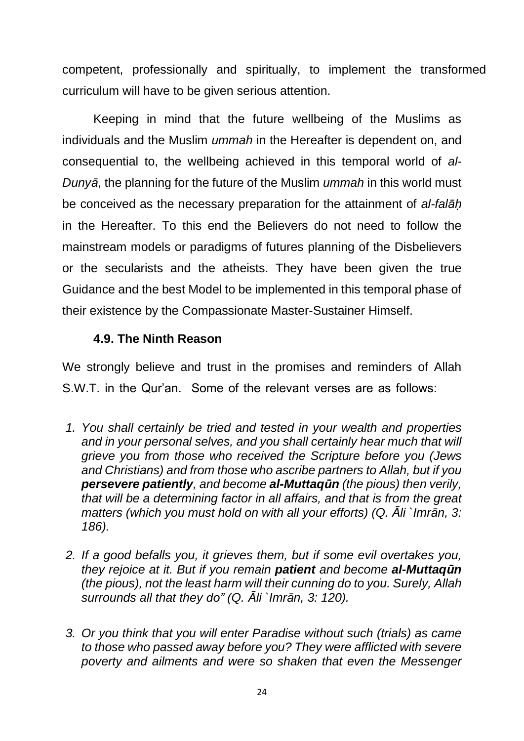competent, professionally and spiritually, to implement the transformed curriculum will have to be given serious attention.

Keeping in mind that the future wellbeing of the Muslims as individuals and the Muslim *ummah* in the Hereafter is dependent on, and consequential to, the wellbeing achieved in this temporal world of *al-Dunyā*, the planning for the future of the Muslim *ummah* in this world must be conceived as the necessary preparation for the attainment of *al-falāḥ* in the Hereafter. To this end the Believers do not need to follow the mainstream models or paradigms of futures planning of the Disbelievers or the secularists and the atheists. They have been given the true Guidance and the best Model to be implemented in this temporal phase of their existence by the Compassionate Master-Sustainer Himself.

## **4.9. The Ninth Reason**

We strongly believe and trust in the promises and reminders of Allah S.W.T. in the Qur'an. Some of the relevant verses are as follows:

- *1. You shall certainly be tried and tested in your wealth and properties and in your personal selves, and you shall certainly hear much that will grieve you from those who received the Scripture before you (Jews and Christians) and from those who ascribe partners to Allah, but if you persevere patiently, and become al-Muttaqūn (the pious) then verily, that will be a determining factor in all affairs, and that is from the great matters (which you must hold on with all your efforts) (Q. Āli `Imrān, 3: 186).*
- *2. If a good befalls you, it grieves them, but if some evil overtakes you, they rejoice at it. But if you remain patient and become al-Muttaqūn (the pious), not the least harm will their cunning do to you. Surely, Allah surrounds all that they do" (Q. Āli `Imrān, 3: 120).*
- *3. Or you think that you will enter Paradise without such (trials) as came to those who passed away before you? They were afflicted with severe poverty and ailments and were so shaken that even the Messenger*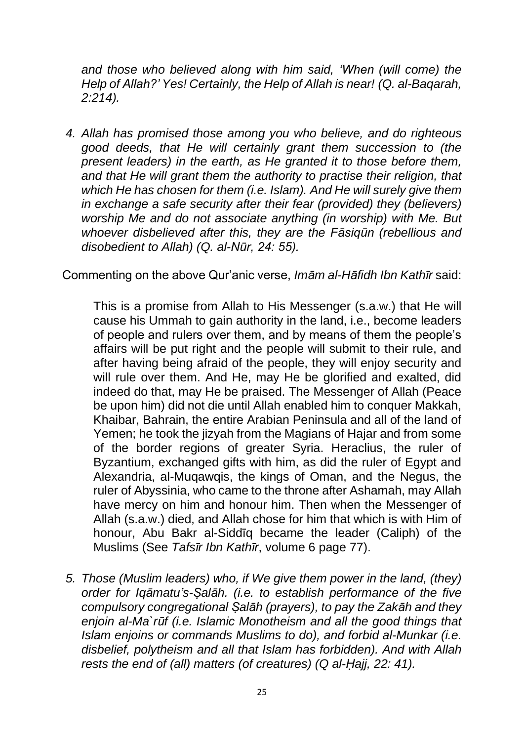*and those who believed along with him said, 'When (will come) the Help of Allah?' Yes! Certainly, the Help of Allah is near! (Q. al-Baqarah, 2:214).*

*4. Allah has promised those among you who believe, and do righteous good deeds, that He will certainly grant them succession to (the present leaders) in the earth, as He granted it to those before them, and that He will grant them the authority to practise their religion, that which He has chosen for them (i.e. Islam). And He will surely give them in exchange a safe security after their fear (provided) they (believers) worship Me and do not associate anything (in worship) with Me. But whoever disbelieved after this, they are the Fāsiqūn (rebellious and disobedient to Allah) (Q. al-Nūr, 24: 55).*

Commenting on the above Qur'anic verse, *Imām al-Hāfidh Ibn Kathīr* said:

This is a promise from Allah to His Messenger (s.a.w.) that He will cause his Ummah to gain authority in the land, i.e., become leaders of people and rulers over them, and by means of them the people's affairs will be put right and the people will submit to their rule, and after having being afraid of the people, they will enjoy security and will rule over them. And He, may He be glorified and exalted, did indeed do that, may He be praised. The Messenger of Allah (Peace be upon him) did not die until Allah enabled him to conquer Makkah, Khaibar, Bahrain, the entire Arabian Peninsula and all of the land of Yemen; he took the jizyah from the Magians of Hajar and from some of the border regions of greater Syria. Heraclius, the ruler of Byzantium, exchanged gifts with him, as did the ruler of Egypt and Alexandria, al-Muqawqis, the kings of Oman, and the Negus, the ruler of Abyssinia, who came to the throne after Ashamah, may Allah have mercy on him and honour him. Then when the Messenger of Allah (s.a.w.) died, and Allah chose for him that which is with Him of honour, Abu Bakr al-Siddīq became the leader (Caliph) of the Muslims (See *Tafsīr Ibn Kathīr*, volume 6 page 77).

*5. Those (Muslim leaders) who, if We give them power in the land, (they) order for Iqāmatu's-Ṣalāh. (i.e. to establish performance of the five compulsory congregational Ṣalāh (prayers), to pay the Zakāh and they enjoin al-Ma`rūf (i.e. Islamic Monotheism and all the good things that Islam enjoins or commands Muslims to do), and forbid al-Munkar (i.e. disbelief, polytheism and all that Islam has forbidden). And with Allah rests the end of (all) matters (of creatures) (Q al-Ḥajj, 22: 41).*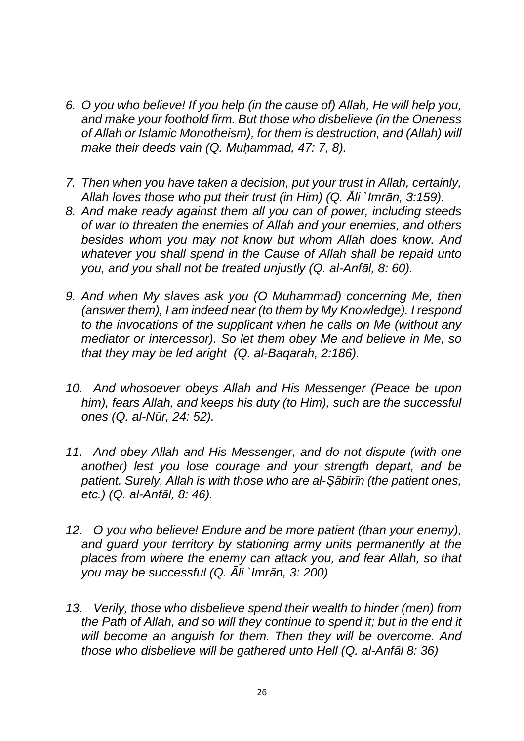- *6. O you who believe! If you help (in the cause of) Allah, He will help you, and make your foothold firm. But those who disbelieve (in the Oneness of Allah or Islamic Monotheism), for them is destruction, and (Allah) will make their deeds vain (Q. Muḥammad, 47: 7, 8).*
- *7. Then when you have taken a decision, put your trust in Allah, certainly, Allah loves those who put their trust (in Him) (Q. Āli `Imrān, 3:159).*
- *8. And make ready against them all you can of power, including steeds of war to threaten the enemies of Allah and your enemies, and others besides whom you may not know but whom Allah does know. And whatever you shall spend in the Cause of Allah shall be repaid unto you, and you shall not be treated unjustly (Q. al-Anfāl, 8: 60).*
- *9. And when My slaves ask you (O Muhammad) concerning Me, then (answer them), I am indeed near (to them by My Knowledge). I respond to the invocations of the supplicant when he calls on Me (without any mediator or intercessor). So let them obey Me and believe in Me, so that they may be led aright (Q. al-Baqarah, 2:186).*
- *10. And whosoever obeys Allah and His Messenger (Peace be upon him), fears Allah, and keeps his duty (to Him), such are the successful ones (Q. al-Nūr, 24: 52).*
- *11. And obey Allah and His Messenger, and do not dispute (with one another) lest you lose courage and your strength depart, and be patient. Surely, Allah is with those who are al-Ṣābirīn (the patient ones, etc.) (Q. al-Anfāl, 8: 46).*
- *12. O you who believe! Endure and be more patient (than your enemy), and guard your territory by stationing army units permanently at the places from where the enemy can attack you, and fear Allah, so that you may be successful (Q. Āli `Imrān, 3: 200)*
- *13. Verily, those who disbelieve spend their wealth to hinder (men) from the Path of Allah, and so will they continue to spend it; but in the end it will become an anguish for them. Then they will be overcome. And those who disbelieve will be gathered unto Hell (Q. al-Anfāl 8: 36)*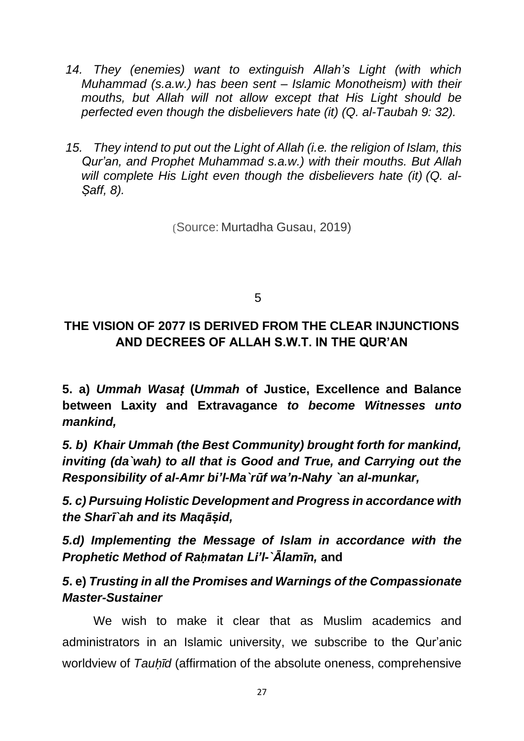- *14. They (enemies) want to extinguish Allah's Light (with which Muhammad (s.a.w.) has been sent – Islamic Monotheism) with their mouths, but Allah will not allow except that His Light should be perfected even though the disbelievers hate (it) (Q. al-Taubah 9: 32).*
- *15. They intend to put out the Light of Allah (i.e. the religion of Islam, this Qur'an, and Prophet Muhammad s.a.w.) with their mouths. But Allah will complete His Light even though the disbelievers hate (it) (Q. al-Ṣaff, 8).*

(Source: Murtadha Gusau, 2019)

 $5<sub>5</sub>$ 

## **THE VISION OF 2077 IS DERIVED FROM THE CLEAR INJUNCTIONS AND DECREES OF ALLAH S.W.T. IN THE QUR'AN**

**5. a)** *Ummah Wasaṭ* **(***Ummah* **of Justice, Excellence and Balance between Laxity and Extravagance** *to become Witnesses unto mankind,*

*5. b) Khair Ummah (the Best Community) brought forth for mankind, inviting (da`wah) to all that is Good and True, and Carrying out the Responsibility of al-Amr bi'l-Ma`rūf wa'n-Nahy `an al-munkar,* 

*5. c) Pursuing Holistic Development and Progress in accordance with the Sharī`ah and its Maqāṣid,* 

*5.d) Implementing the Message of Islam in accordance with the Prophetic Method of Raḥmatan Li'l-`Ālamīn,* **and** 

## *5***. e)** *Trusting in all the Promises and Warnings of the Compassionate Master-Sustainer*

We wish to make it clear that as Muslim academics and administrators in an Islamic university, we subscribe to the Qur'anic worldview of *Tauḥīd* (affirmation of the absolute oneness, comprehensive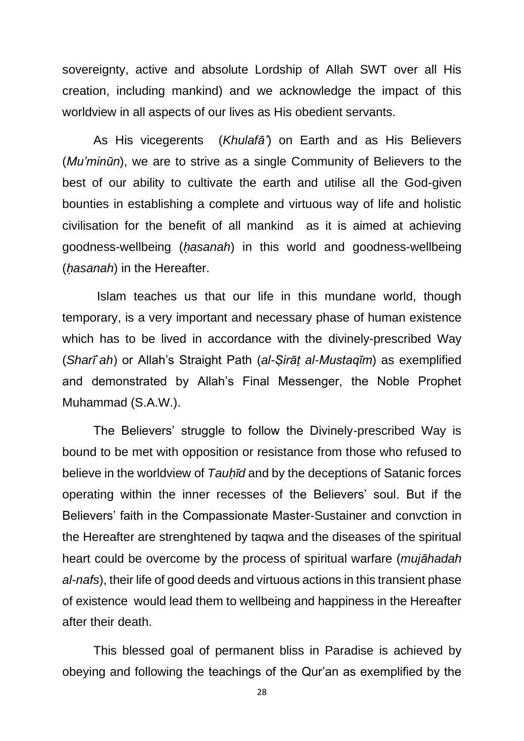sovereignty, active and absolute Lordship of Allah SWT over all His creation, including mankind) and we acknowledge the impact of this worldview in all aspects of our lives as His obedient servants.

As His vicegerents (*Khulafā'*) on Earth and as His Believers (*Mu'minūn*), we are to strive as a single Community of Believers to the best of our ability to cultivate the earth and utilise all the God-given bounties in establishing a complete and virtuous way of life and holistic civilisation for the benefit of all mankind as it is aimed at achieving goodness-wellbeing (*ḥasanah*) in this world and goodness-wellbeing (*ḥasanah*) in the Hereafter.

Islam teaches us that our life in this mundane world, though temporary, is a very important and necessary phase of human existence which has to be lived in accordance with the divinely-prescribed Way (*Sharī`ah*) or Allah's Straight Path (*al-Ṣirāṭ al-Mustaqīm*) as exemplified and demonstrated by Allah's Final Messenger, the Noble Prophet Muhammad (S.A.W.).

The Believers' struggle to follow the Divinely-prescribed Way is bound to be met with opposition or resistance from those who refused to believe in the worldview of *Tauḥīd* and by the deceptions of Satanic forces operating within the inner recesses of the Believers' soul. But if the Believers' faith in the Compassionate Master-Sustainer and convction in the Hereafter are strenghtened by taqwa and the diseases of the spiritual heart could be overcome by the process of spiritual warfare (*mujāhadah al-nafs*), their life of good deeds and virtuous actions in this transient phase of existence would lead them to wellbeing and happiness in the Hereafter after their death.

This blessed goal of permanent bliss in Paradise is achieved by obeying and following the teachings of the Qur'an as exemplified by the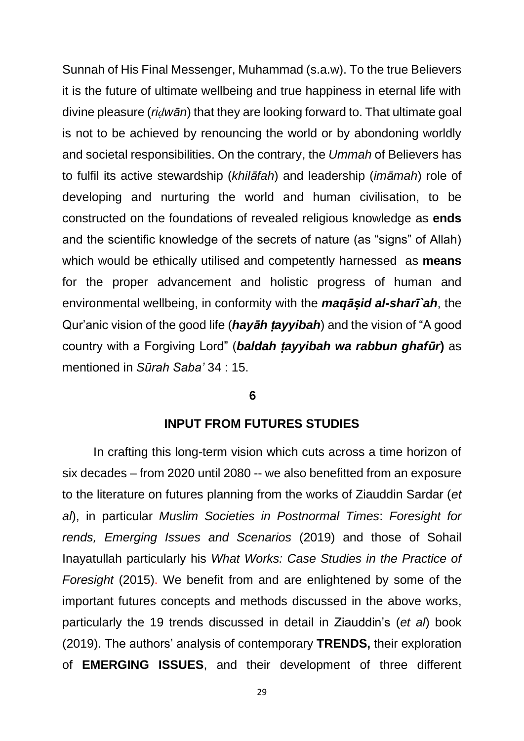Sunnah of His Final Messenger, Muhammad (s.a.w). To the true Believers it is the future of ultimate wellbeing and true happiness in eternal life with divine pleasure (*riḍwān*) that they are looking forward to. That ultimate goal is not to be achieved by renouncing the world or by abondoning worldly and societal responsibilities. On the contrary, the *Ummah* of Believers has to fulfil its active stewardship (*khilāfah*) and leadership (*imāmah*) role of developing and nurturing the world and human civilisation, to be constructed on the foundations of revealed religious knowledge as **ends**  and the scientific knowledge of the secrets of nature (as "signs" of Allah) which would be ethically utilised and competently harnessed as **means** for the proper advancement and holistic progress of human and environmental wellbeing, in conformity with the *maqāṣid al-sharī`ah*, the Qur'anic vision of the good life (*hayāh ṭayyibah*) and the vision of "A good country with a Forgiving Lord" (*baldah ṭayyibah wa rabbun ghafūr***)** as mentioned in *Sūrah Saba'* 34 : 15.

#### **6**

#### **INPUT FROM FUTURES STUDIES**

In crafting this long-term vision which cuts across a time horizon of six decades – from 2020 until 2080 -- we also benefitted from an exposure to the literature on futures planning from the works of Ziauddin Sardar (*et al*), in particular *Muslim Societies in Postnormal Times*: *Foresight for rends, Emerging Issues and Scenarios* (2019) and those of Sohail Inayatullah particularly his *What Works: Case Studies in the Practice of Foresight* (2015). We benefit from and are enlightened by some of the important futures concepts and methods discussed in the above works, particularly the 19 trends discussed in detail in Ziauddin's (*et al*) book (2019). The authors' analysis of contemporary **TRENDS,** their exploration of **EMERGING ISSUES**, and their development of three different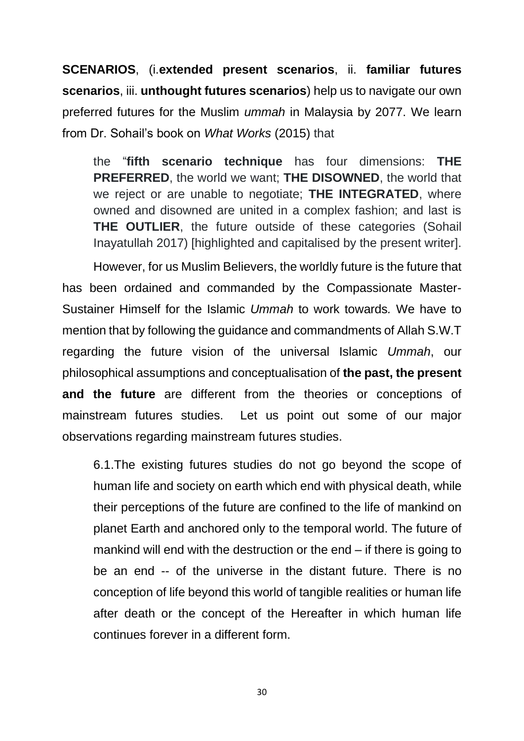**SCENARIOS**, (i.**extended present scenarios**, ii. **familiar futures scenarios**, iii. **unthought futures scenarios**) help us to navigate our own preferred futures for the Muslim *ummah* in Malaysia by 2077. We learn from Dr. Sohail's book on *What Works* (2015) that

the "**fifth scenario technique** has four dimensions: **THE PREFERRED**, the world we want; **THE DISOWNED**, the world that we reject or are unable to negotiate; **THE INTEGRATED**, where owned and disowned are united in a complex fashion; and last is **THE OUTLIER**, the future outside of these categories (Sohail Inayatullah 2017) [highlighted and capitalised by the present writer].

However, for us Muslim Believers, the worldly future is the future that has been ordained and commanded by the Compassionate Master-Sustainer Himself for the Islamic *Ummah* to work towards*.* We have to mention that by following the guidance and commandments of Allah S.W.T regarding the future vision of the universal Islamic *Ummah*, our philosophical assumptions and conceptualisation of **the past, the present and the future** are different from the theories or conceptions of mainstream futures studies. Let us point out some of our major observations regarding mainstream futures studies.

6.1.The existing futures studies do not go beyond the scope of human life and society on earth which end with physical death, while their perceptions of the future are confined to the life of mankind on planet Earth and anchored only to the temporal world. The future of mankind will end with the destruction or the end – if there is going to be an end -- of the universe in the distant future. There is no conception of life beyond this world of tangible realities or human life after death or the concept of the Hereafter in which human life continues forever in a different form.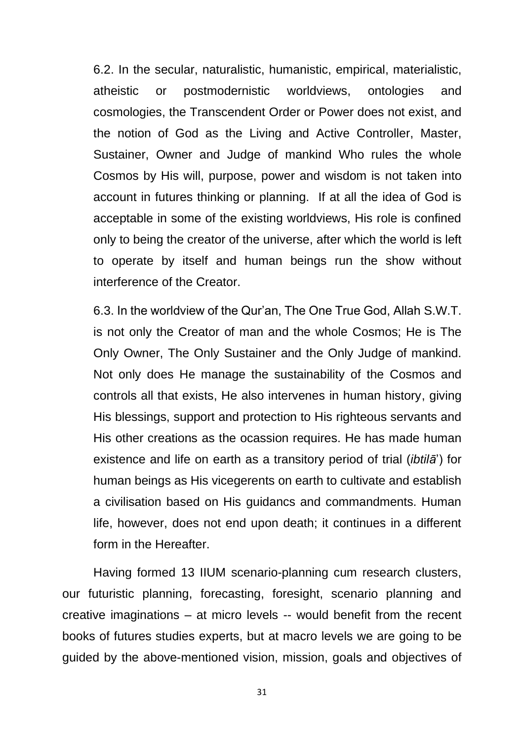6.2. In the secular, naturalistic, humanistic, empirical, materialistic, atheistic or postmodernistic worldviews, ontologies and cosmologies, the Transcendent Order or Power does not exist, and the notion of God as the Living and Active Controller, Master, Sustainer, Owner and Judge of mankind Who rules the whole Cosmos by His will, purpose, power and wisdom is not taken into account in futures thinking or planning. If at all the idea of God is acceptable in some of the existing worldviews, His role is confined only to being the creator of the universe, after which the world is left to operate by itself and human beings run the show without interference of the Creator.

6.3. In the worldview of the Qur'an, The One True God, Allah S.W.T. is not only the Creator of man and the whole Cosmos; He is The Only Owner, The Only Sustainer and the Only Judge of mankind. Not only does He manage the sustainability of the Cosmos and controls all that exists, He also intervenes in human history, giving His blessings, support and protection to His righteous servants and His other creations as the ocassion requires. He has made human existence and life on earth as a transitory period of trial (*ibtilā*') for human beings as His vicegerents on earth to cultivate and establish a civilisation based on His guidancs and commandments. Human life, however, does not end upon death; it continues in a different form in the Hereafter.

Having formed 13 IIUM scenario-planning cum research clusters, our futuristic planning, forecasting, foresight, scenario planning and creative imaginations – at micro levels -- would benefit from the recent books of futures studies experts, but at macro levels we are going to be guided by the above-mentioned vision, mission, goals and objectives of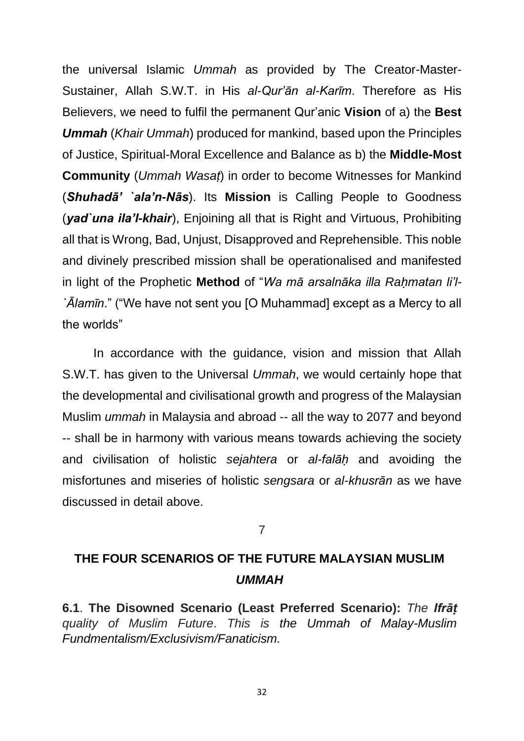the universal Islamic *Ummah* as provided by The Creator-Master-Sustainer, Allah S.W.T. in His *al-Qur'ān al-Karīm*. Therefore as His Believers, we need to fulfil the permanent Qur'anic **Vision** of a) the **Best**  *Ummah* (*Khair Ummah*) produced for mankind, based upon the Principles of Justice, Spiritual-Moral Excellence and Balance as b) the **Middle-Most Community** (*Ummah Wasaṭ*) in order to become Witnesses for Mankind (*Shuhadā' `ala'n-Nās*). Its **Mission** is Calling People to Goodness (*yad`una ila'l-khair*), Enjoining all that is Right and Virtuous, Prohibiting all that is Wrong, Bad, Unjust, Disapproved and Reprehensible. This noble and divinely prescribed mission shall be operationalised and manifested in light of the Prophetic **Method** of "*Wa mā arsalnāka illa Raḥmatan li'l- `Ālamīn*." ("We have not sent you [O Muhammad] except as a Mercy to all the worlds"

In accordance with the guidance, vision and mission that Allah S.W.T. has given to the Universal *Ummah*, we would certainly hope that the developmental and civilisational growth and progress of the Malaysian Muslim *ummah* in Malaysia and abroad -- all the way to 2077 and beyond -- shall be in harmony with various means towards achieving the society and civilisation of holistic *sejahtera* or *al-falāḥ* and avoiding the misfortunes and miseries of holistic *sengsara* or *al-khusrān* as we have discussed in detail above.

## 7

# **THE FOUR SCENARIOS OF THE FUTURE MALAYSIAN MUSLIM**  *UMMAH*

**6.1**. **The Disowned Scenario (Least Preferred Scenario):** *The Ifrāṭ quality of Muslim Future*. *This is the Ummah of Malay-Muslim Fundmentalism/Exclusivism/Fanaticism.*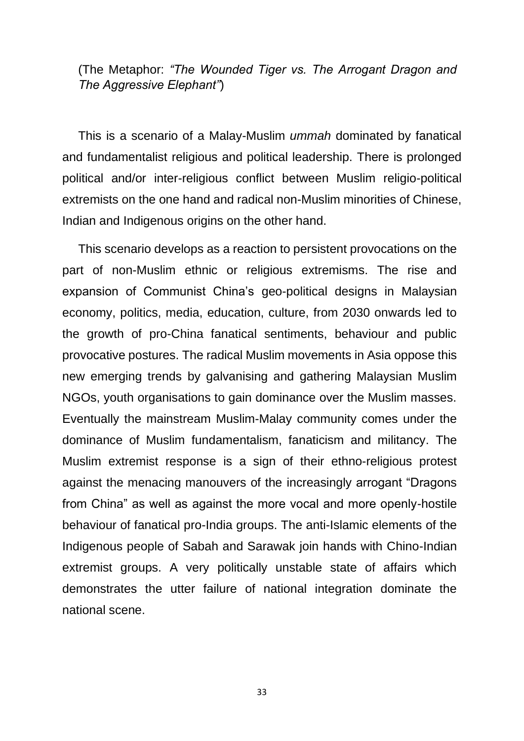(The Metaphor: *"The Wounded Tiger vs. The Arrogant Dragon and The Aggressive Elephant"*)

This is a scenario of a Malay-Muslim *ummah* dominated by fanatical and fundamentalist religious and political leadership. There is prolonged political and/or inter-religious conflict between Muslim religio-political extremists on the one hand and radical non-Muslim minorities of Chinese, Indian and Indigenous origins on the other hand.

This scenario develops as a reaction to persistent provocations on the part of non-Muslim ethnic or religious extremisms. The rise and expansion of Communist China's geo-political designs in Malaysian economy, politics, media, education, culture, from 2030 onwards led to the growth of pro-China fanatical sentiments, behaviour and public provocative postures. The radical Muslim movements in Asia oppose this new emerging trends by galvanising and gathering Malaysian Muslim NGOs, youth organisations to gain dominance over the Muslim masses. Eventually the mainstream Muslim-Malay community comes under the dominance of Muslim fundamentalism, fanaticism and militancy. The Muslim extremist response is a sign of their ethno-religious protest against the menacing manouvers of the increasingly arrogant "Dragons from China" as well as against the more vocal and more openly-hostile behaviour of fanatical pro-India groups. The anti-Islamic elements of the Indigenous people of Sabah and Sarawak join hands with Chino-Indian extremist groups. A very politically unstable state of affairs which demonstrates the utter failure of national integration dominate the national scene.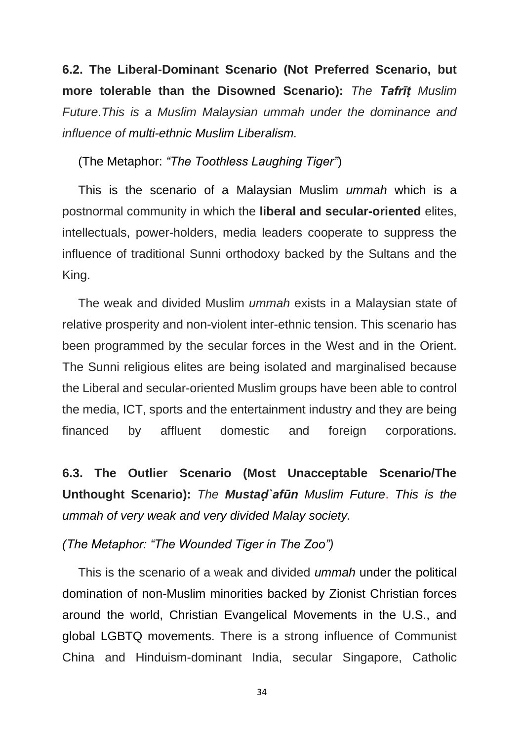**6.2. The Liberal-Dominant Scenario (Not Preferred Scenario, but more tolerable than the Disowned Scenario):** *The Tafrīṭ Muslim Future*.*This is a Muslim Malaysian ummah under the dominance and influence of multi-ethnic Muslim Liberalism.*

(The Metaphor: *"The Toothless Laughing Tiger"*)

This is the scenario of a Malaysian Muslim *ummah* which is a postnormal community in which the **liberal and secular-oriented** elites, intellectuals, power-holders, media leaders cooperate to suppress the influence of traditional Sunni orthodoxy backed by the Sultans and the King.

The weak and divided Muslim *ummah* exists in a Malaysian state of relative prosperity and non-violent inter-ethnic tension. This scenario has been programmed by the secular forces in the West and in the Orient. The Sunni religious elites are being isolated and marginalised because the Liberal and secular-oriented Muslim groups have been able to control the media, ICT, sports and the entertainment industry and they are being financed by affluent domestic and foreign corporations.

**6.3. The Outlier Scenario (Most Unacceptable Scenario/The Unthought Scenario):** *The Mustaḍ`afūn Muslim Future*. *This is the ummah of very weak and very divided Malay society.*

*(The Metaphor: "The Wounded Tiger in The Zoo")*

This is the scenario of a weak and divided *ummah* under the political domination of non-Muslim minorities backed by Zionist Christian forces around the world, Christian Evangelical Movements in the U.S., and global LGBTQ movements. There is a strong influence of Communist China and Hinduism-dominant India, secular Singapore, Catholic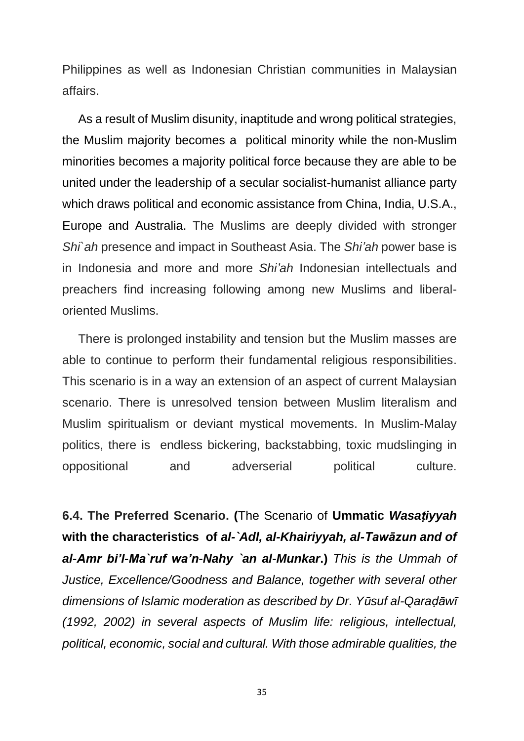Philippines as well as Indonesian Christian communities in Malaysian affairs.

As a result of Muslim disunity, inaptitude and wrong political strategies, the Muslim majority becomes a political minority while the non-Muslim minorities becomes a majority political force because they are able to be united under the leadership of a secular socialist-humanist alliance party which draws political and economic assistance from China, India, U.S.A., Europe and Australia. The Muslims are deeply divided with stronger *Shi`ah* presence and impact in Southeast Asia. The *Shi'ah* power base is in Indonesia and more and more *Shi'ah* Indonesian intellectuals and preachers find increasing following among new Muslims and liberaloriented Muslims.

There is prolonged instability and tension but the Muslim masses are able to continue to perform their fundamental religious responsibilities. This scenario is in a way an extension of an aspect of current Malaysian scenario. There is unresolved tension between Muslim literalism and Muslim spiritualism or deviant mystical movements. In Muslim-Malay politics, there is endless bickering, backstabbing, toxic mudslinging in oppositional and adverserial political culture.

**6.4. The Preferred Scenario. (**The Scenario of **Ummatic** *Wasaṭiyyah* **with the characteristics of** *al-`Adl, al-Khairiyyah, al-Tawāzun and of al-Amr bi'l-Ma`ruf wa'n-Nahy `an al-Munkar***.)** *This is the Ummah of Justice, Excellence/Goodness and Balance, together with several other dimensions of Islamic moderation as described by Dr. Yūsuf al-Qaraḍāwī (1992, 2002) in several aspects of Muslim life: religious, intellectual, political, economic, social and cultural. With those admirable qualities, the*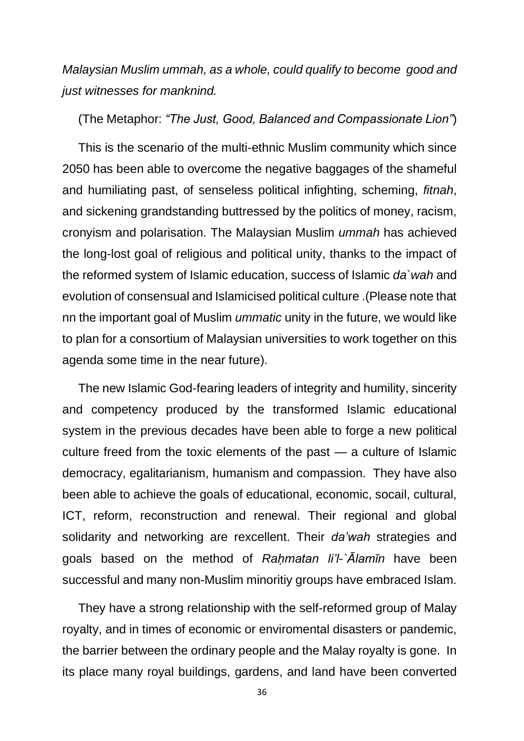*Malaysian Muslim ummah, as a whole, could qualify to become good and just witnesses for manknind.*

## (The Metaphor: *"The Just, Good, Balanced and Compassionate Lion"*)

This is the scenario of the multi-ethnic Muslim community which since 2050 has been able to overcome the negative baggages of the shameful and humiliating past, of senseless political infighting, scheming, *fitnah*, and sickening grandstanding buttressed by the politics of money, racism, cronyism and polarisation. The Malaysian Muslim *ummah* has achieved the long-lost goal of religious and political unity, thanks to the impact of the reformed system of Islamic education, success of Islamic *da`wah* and evolution of consensual and Islamicised political culture .(Please note that nn the important goal of Muslim *ummatic* unity in the future, we would like to plan for a consortium of Malaysian universities to work together on this agenda some time in the near future).

The new Islamic God-fearing leaders of integrity and humility, sincerity and competency produced by the transformed Islamic educational system in the previous decades have been able to forge a new political culture freed from the toxic elements of the past — a culture of Islamic democracy, egalitarianism, humanism and compassion. They have also been able to achieve the goals of educational, economic, socail, cultural, ICT, reform, reconstruction and renewal. Their regional and global solidarity and networking are rexcellent. Their *da'wah* strategies and goals based on the method of *Raḥmatan li'l-`Ālamīn* have been successful and many non-Muslim minoritiy groups have embraced Islam.

They have a strong relationship with the self-reformed group of Malay royalty, and in times of economic or enviromental disasters or pandemic, the barrier between the ordinary people and the Malay royalty is gone. In its place many royal buildings, gardens, and land have been converted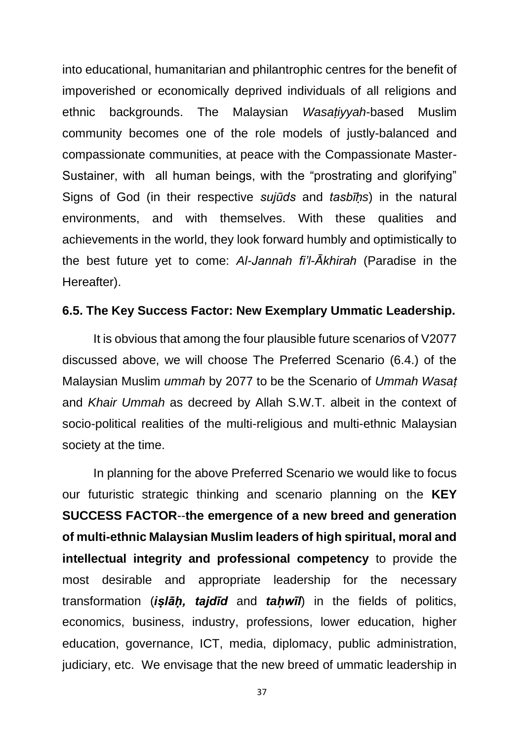into educational, humanitarian and philantrophic centres for the benefit of impoverished or economically deprived individuals of all religions and ethnic backgrounds. The Malaysian *Wasaṭiyyah*-based Muslim community becomes one of the role models of justly-balanced and compassionate communities, at peace with the Compassionate Master-Sustainer, with all human beings, with the "prostrating and glorifying" Signs of God (in their respective *sujūds* and *tasbīḥs*) in the natural environments, and with themselves. With these qualities and achievements in the world, they look forward humbly and optimistically to the best future yet to come: *Al-Jannah fi'l-Ākhirah* (Paradise in the Hereafter).

#### **6.5. The Key Success Factor: New Exemplary Ummatic Leadership.**

It is obvious that among the four plausible future scenarios of V2077 discussed above, we will choose The Preferred Scenario (6.4.) of the Malaysian Muslim *ummah* by 2077 to be the Scenario of *Ummah Wasaṭ* and *Khair Ummah* as decreed by Allah S.W.T. albeit in the context of socio-political realities of the multi-religious and multi-ethnic Malaysian society at the time.

In planning for the above Preferred Scenario we would like to focus our futuristic strategic thinking and scenario planning on the **KEY SUCCESS FACTOR**--**the emergence of a new breed and generation of multi-ethnic Malaysian Muslim leaders of high spiritual, moral and intellectual integrity and professional competency** to provide the most desirable and appropriate leadership for the necessary transformation (*iṣlāḥ, tajdīd* and *taḥwīl*) in the fields of politics, economics, business, industry, professions, lower education, higher education, governance, ICT, media, diplomacy, public administration, judiciary, etc. We envisage that the new breed of ummatic leadership in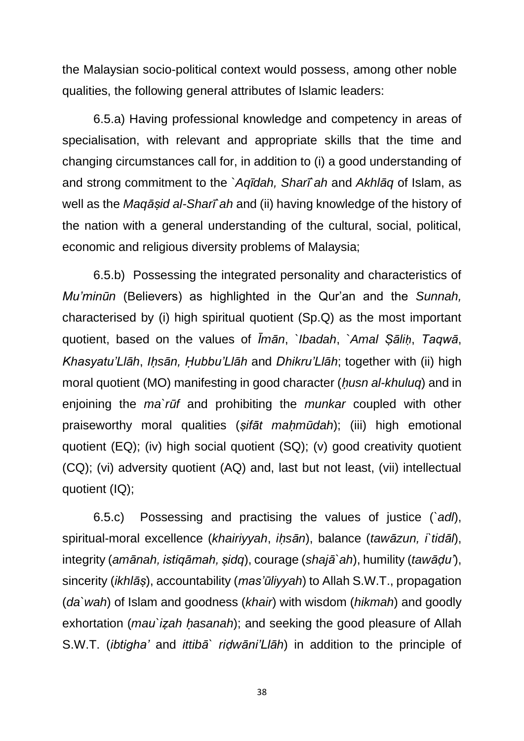the Malaysian socio-political context would possess, among other noble qualities, the following general attributes of Islamic leaders:

6.5.a) Having professional knowledge and competency in areas of specialisation, with relevant and appropriate skills that the time and changing circumstances call for, in addition to (i) a good understanding of and strong commitment to the `*Aqīdah, Sharī`ah* and *Akhlāq* of Islam, as well as the *Maqāṣid al-Sharī`ah* and (ii) having knowledge of the history of the nation with a general understanding of the cultural, social, political, economic and religious diversity problems of Malaysia;

6.5.b) Possessing the integrated personality and characteristics of *Mu'minūn* (Believers) as highlighted in the Qur'an and the *Sunnah,* characterised by (i) high spiritual quotient (Sp.Q) as the most important quotient, based on the values of *Īmān*, *`Ibadah*, `*Amal Ṣāliḥ*, *Taqwā*, *Khasyatu'Llāh*, *Iḥsān, Ḥubbu'Llāh* and *Dhikru'Llāh*; together with (ii) high moral quotient (MO) manifesting in good character (*ḥusn al-khuluq*) and in enjoining the *ma`rūf* and prohibiting the *munkar* coupled with other praiseworthy moral qualities (*ṣifāt maḥmūdah*); (iii) high emotional quotient (EQ); (iv) high social quotient (SQ); (v) good creativity quotient (CQ); (vi) adversity quotient (AQ) and, last but not least, (vii) intellectual quotient (IQ);

6.5.c) Possessing and practising the values of justice (*`adl*), spiritual-moral excellence (*khairiyyah*, *iḥsān*), balance (*tawāzun, i`tidāl*), integrity (*amānah, istiqāmah, ṣidq*), courage (*shajā`ah*), humility (*tawāḍu'*), sincerity (*ikhlāṣ*), accountability (*mas'ūliyyah*) to Allah S.W.T., propagation (*da`wah*) of Islam and goodness (*khair*) with wisdom (*hikmah*) and goodly exhortation (*mau`izah hasanah*); and seeking the good pleasure of Allah S.W.T. (*ibtigha'* and *ittibā` riḍwāni'Llāh*) in addition to the principle of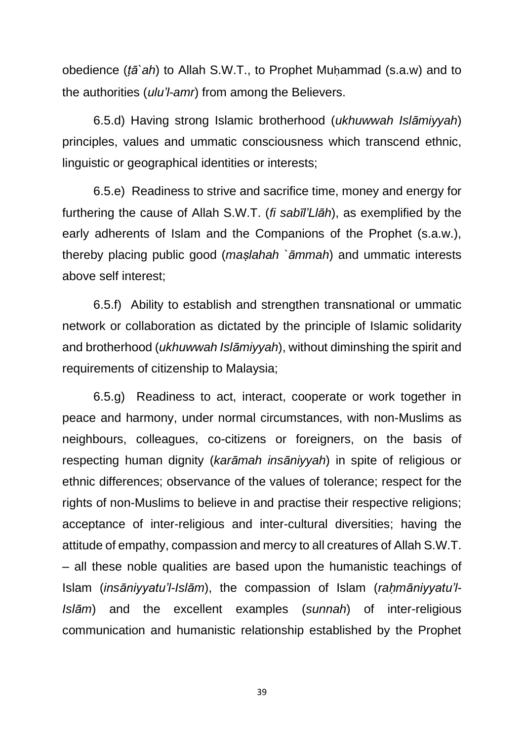obedience (*ṭā`ah*) to Allah S.W.T., to Prophet Muḥammad (s.a.w) and to the authorities (*ulu'l-amr*) from among the Believers.

6.5.d) Having strong Islamic brotherhood (*ukhuwwah Islāmiyyah*) principles, values and ummatic consciousness which transcend ethnic, linguistic or geographical identities or interests;

6.5.e) Readiness to strive and sacrifice time, money and energy for furthering the cause of Allah S.W.T. (*fi sabīl'Llāh*), as exemplified by the early adherents of Islam and the Companions of the Prophet (s.a.w.), thereby placing public good (*maṣlahah `āmmah*) and ummatic interests above self interest;

6.5.f) Ability to establish and strengthen transnational or ummatic network or collaboration as dictated by the principle of Islamic solidarity and brotherhood (*ukhuwwah Islāmiyyah*), without diminshing the spirit and requirements of citizenship to Malaysia;

6.5.g) Readiness to act, interact, cooperate or work together in peace and harmony, under normal circumstances, with non-Muslims as neighbours, colleagues, co-citizens or foreigners, on the basis of respecting human dignity (*karāmah insāniyyah*) in spite of religious or ethnic differences; observance of the values of tolerance; respect for the rights of non-Muslims to believe in and practise their respective religions; acceptance of inter-religious and inter-cultural diversities; having the attitude of empathy, compassion and mercy to all creatures of Allah S.W.T. – all these noble qualities are based upon the humanistic teachings of Islam (*insāniyyatu'l-Islām*), the compassion of Islam (*raḥmāniyyatu'l-Islām*) and the excellent examples (*sunnah*) of inter-religious communication and humanistic relationship established by the Prophet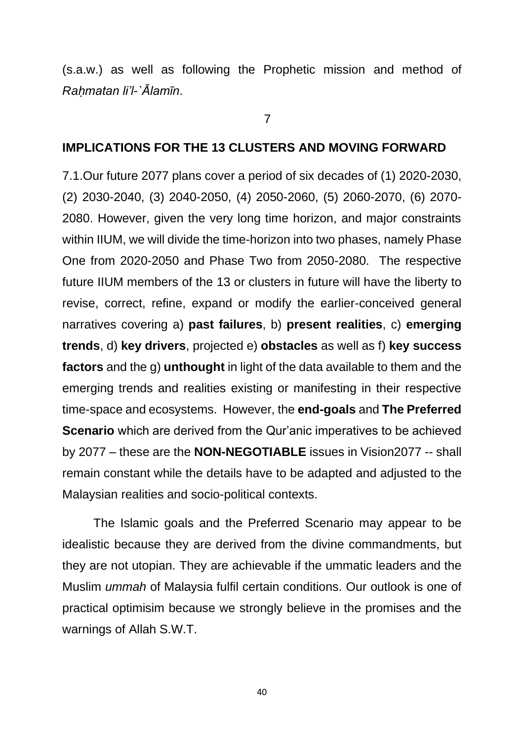(s.a.w.) as well as following the Prophetic mission and method of *Raḥmatan li'l-`Ālamīn*.

7

## **IMPLICATIONS FOR THE 13 CLUSTERS AND MOVING FORWARD**

7.1.Our future 2077 plans cover a period of six decades of (1) 2020-2030, (2) 2030-2040, (3) 2040-2050, (4) 2050-2060, (5) 2060-2070, (6) 2070- 2080. However, given the very long time horizon, and major constraints within IIUM, we will divide the time-horizon into two phases, namely Phase One from 2020-2050 and Phase Two from 2050-2080. The respective future IIUM members of the 13 or clusters in future will have the liberty to revise, correct, refine, expand or modify the earlier-conceived general narratives covering a) **past failures**, b) **present realities**, c) **emerging trends**, d) **key drivers**, projected e) **obstacles** as well as f) **key success factors** and the g) **unthought** in light of the data available to them and the emerging trends and realities existing or manifesting in their respective time-space and ecosystems. However, the **end-goals** and **The Preferred Scenario** which are derived from the Qur'anic imperatives to be achieved by 2077 – these are the **NON-NEGOTIABLE** issues in Vision2077 -- shall remain constant while the details have to be adapted and adjusted to the Malaysian realities and socio-political contexts.

The Islamic goals and the Preferred Scenario may appear to be idealistic because they are derived from the divine commandments, but they are not utopian. They are achievable if the ummatic leaders and the Muslim *ummah* of Malaysia fulfil certain conditions. Our outlook is one of practical optimisim because we strongly believe in the promises and the warnings of Allah S.W.T.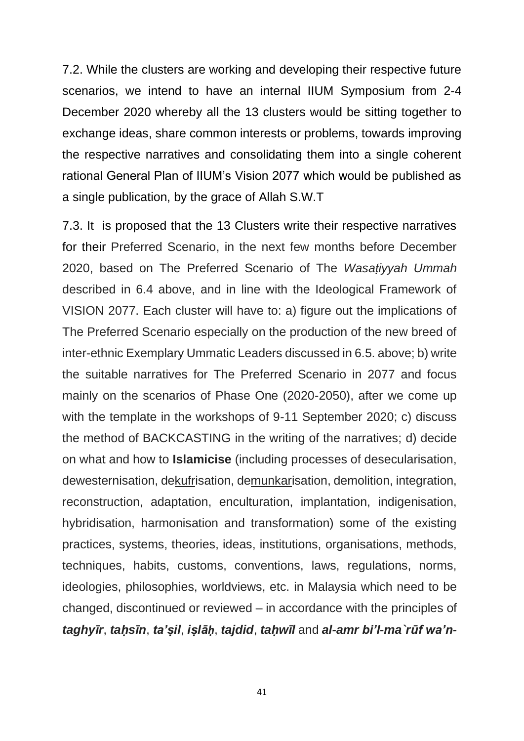7.2. While the clusters are working and developing their respective future scenarios, we intend to have an internal IIUM Symposium from 2-4 December 2020 whereby all the 13 clusters would be sitting together to exchange ideas, share common interests or problems, towards improving the respective narratives and consolidating them into a single coherent rational General Plan of IIUM's Vision 2077 which would be published as a single publication, by the grace of Allah S.W.T

7.3. It is proposed that the 13 Clusters write their respective narratives for their Preferred Scenario, in the next few months before December 2020, based on The Preferred Scenario of The *Wasaṭiyyah Ummah* described in 6.4 above, and in line with the Ideological Framework of VISION 2077. Each cluster will have to: a) figure out the implications of The Preferred Scenario especially on the production of the new breed of inter-ethnic Exemplary Ummatic Leaders discussed in 6.5. above; b) write the suitable narratives for The Preferred Scenario in 2077 and focus mainly on the scenarios of Phase One (2020-2050), after we come up with the template in the workshops of 9-11 September 2020; c) discuss the method of BACKCASTING in the writing of the narratives; d) decide on what and how to **Islamicise** (including processes of desecularisation, dewesternisation, dekufrisation, demunkarisation, demolition, integration, reconstruction, adaptation, enculturation, implantation, indigenisation, hybridisation, harmonisation and transformation) some of the existing practices, systems, theories, ideas, institutions, organisations, methods, techniques, habits, customs, conventions, laws, regulations, norms, ideologies, philosophies, worldviews, etc. in Malaysia which need to be changed, discontinued or reviewed – in accordance with the principles of *taghyīr*, *taḥsīn*, *ta'ṣil*, *iṣlāḥ*, *tajdid*, *taḥwīl* and *al-amr bi'l-ma`rūf wa'n-*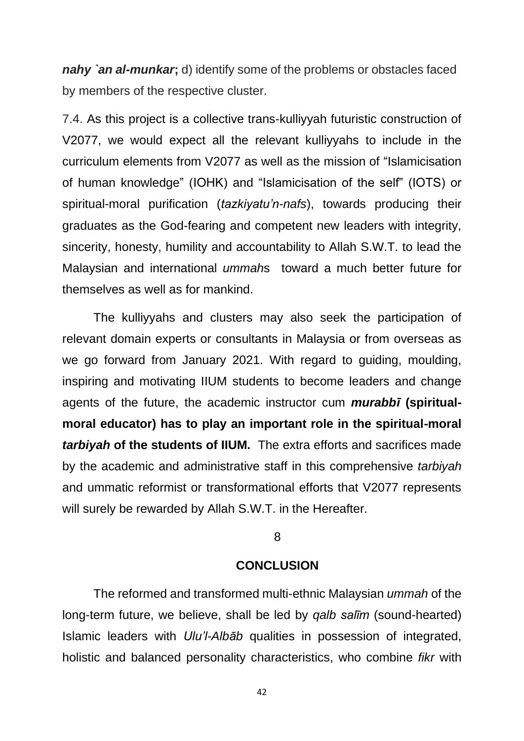*nahy `an al-munkar***;** d) identify some of the problems or obstacles faced by members of the respective cluster.

7.4. As this project is a collective trans-kulliyyah futuristic construction of V2077, we would expect all the relevant kulliyyahs to include in the curriculum elements from V2077 as well as the mission of "Islamicisation of human knowledge" (IOHK) and "Islamicisation of the self" (IOTS) or spiritual-moral purification (*tazkiyatu'n-nafs*), towards producing their graduates as the God-fearing and competent new leaders with integrity, sincerity, honesty, humility and accountability to Allah S.W.T. to lead the Malaysian and international *ummah*s toward a much better future for themselves as well as for mankind.

The kulliyyahs and clusters may also seek the participation of relevant domain experts or consultants in Malaysia or from overseas as we go forward from January 2021. With regard to guiding, moulding, inspiring and motivating IIUM students to become leaders and change agents of the future, the academic instructor cum *murabbī* **(spiritualmoral educator) has to play an important role in the spiritual-moral**  *tarbiyah* **of the students of IIUM.** The extra efforts and sacrifices made by the academic and administrative staff in this comprehensive *tarbiyah* and ummatic reformist or transformational efforts that V2077 represents will surely be rewarded by Allah S.W.T. in the Hereafter.

## 8

## **CONCLUSION**

The reformed and transformed multi-ethnic Malaysian *ummah* of the long-term future, we believe, shall be led by *qalb salīm* (sound-hearted) Islamic leaders with *Ulu'l-Albāb* qualities in possession of integrated, holistic and balanced personality characteristics, who combine *fikr* with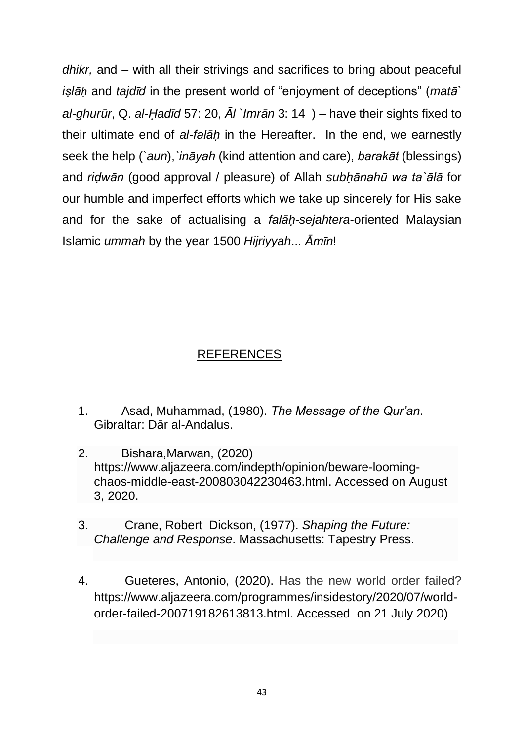*dhikr,* and – with all their strivings and sacrifices to bring about peaceful *iṣlāḥ* and *tajdīd* in the present world of "enjoyment of deceptions" (*matā` al-ghurūr*, Q. *al-Ḥadīd* 57: 20, *Āl `Imrān* 3: 14 ) – have their sights fixed to their ultimate end of *al-falāḥ* in the Hereafter. In the end, we earnestly seek the help (*`aun*),*`ināyah* (kind attention and care), *barakāt* (blessings) and *riḍwān* (good approval / pleasure) of Allah *subḥānahū wa ta`ālā* for our humble and imperfect efforts which we take up sincerely for His sake and for the sake of actualising a *falāḥ-sejahtera*-oriented Malaysian Islamic *ummah* by the year 1500 *Hijriyyah*... *Āmīn*!

## REFERENCES

- 1. Asad, Muhammad, (1980). *The Message of the Qur'an*. Gibraltar: Dār al-Andalus.
- 2. Bishara,Marwan, (2020) [https://www.aljazeera.com/indepth/opinion/beware-looming](https://www.aljazeera.com/indepth/opinion/beware-looming-chaos-middle-east-200803042230463.html)[chaos-middle-east-200803042230463.html.](https://www.aljazeera.com/indepth/opinion/beware-looming-chaos-middle-east-200803042230463.html) Accessed on August 3, 2020.
- 3. Crane, Robert Dickson, (1977). *Shaping the Future: Challenge and Response*. Massachusetts: Tapestry Press.
- 4. Gueteres, Antonio, (2020). Has the new world order failed? [https://www.aljazeera.com/programmes/insidestory/2020/07/world](https://www.aljazeera.com/programmes/insidestory/2020/07/world-order-failed-200719182613813.html.%20Accessed%20%20on%2021%20July%202020)[order-failed-200719182613813.html. Accessed on 21 July 2020\)](https://www.aljazeera.com/programmes/insidestory/2020/07/world-order-failed-200719182613813.html.%20Accessed%20%20on%2021%20July%202020)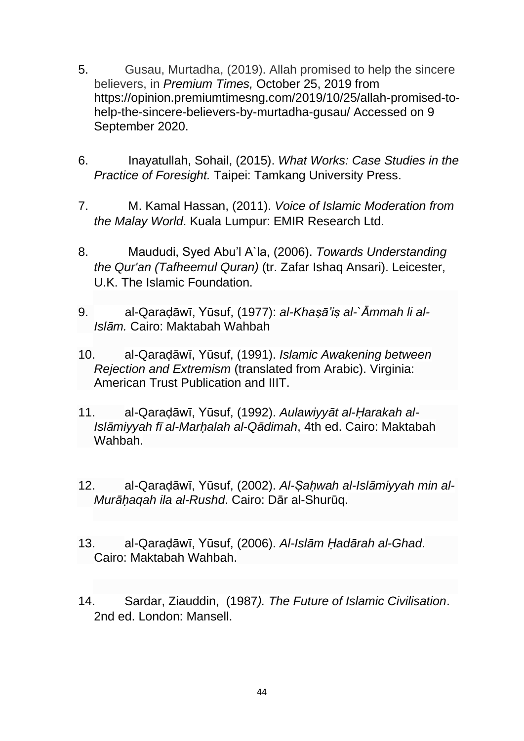- 5. Gusau, Murtadha, (2019). Allah promised to help the sincere believers, in *[Premium](https://opinion.premiumtimesng.com/author/webmaster/) Times,* October 25, 2019 from https://opinion.premiumtimesng.com/2019/10/25/allah-promised-tohelp-the-sincere-believers-by-murtadha-gusau/ Accessed on 9 September 2020.
- 6. Inayatullah, Sohail, (2015). *What Works: Case Studies in the Practice of Foresight.* Taipei: Tamkang University Press.
- 7. M. Kamal Hassan, (2011). *Voice of Islamic Moderation from the Malay World*. Kuala Lumpur: EMIR Research Ltd.
- 8. Maududi, Syed Abu'l A`la, (2006). *Towards Understanding the Qur'an (Tafheemul Quran)* (tr. Zafar Ishaq Ansari). Leicester, U.K. The Islamic Foundation.
- 9. al-Qaraḍāwī, Yūsuf, (1977): *al-Khaṣā'iṣ al-`Āmmah li al-Islām.* Cairo: Maktabah Wahbah
- 10. al-Qaraḍāwī, Yūsuf, (1991). *Islamic Awakening between Rejection and Extremism* (translated from Arabic). Virginia: American Trust Publication and IIIT.
- 11. al-Qaraḍāwī, Yūsuf, (1992). *Aulawiyyāt al-Ḥarakah al-Islāmiyyah fī al-Marḥalah al-Qādimah*, 4th ed. Cairo: Maktabah Wahbah.
- 12. al-Qaraḍāwī, Yūsuf, (2002). *Al-Ṣaḥwah al-Islāmiyyah min al-Murāḥaqah ila al-Rushd*. Cairo: Dār al-Shurūq.
- 13. al-Qaraḍāwī, Yūsuf, (2006). *Al-Islām Ḥadārah al-Ghad*. Cairo: Maktabah Wahbah.
- 14. Sardar, Ziauddin, (1987*). The Future of Islamic Civilisation*. 2nd ed. London: Mansell.